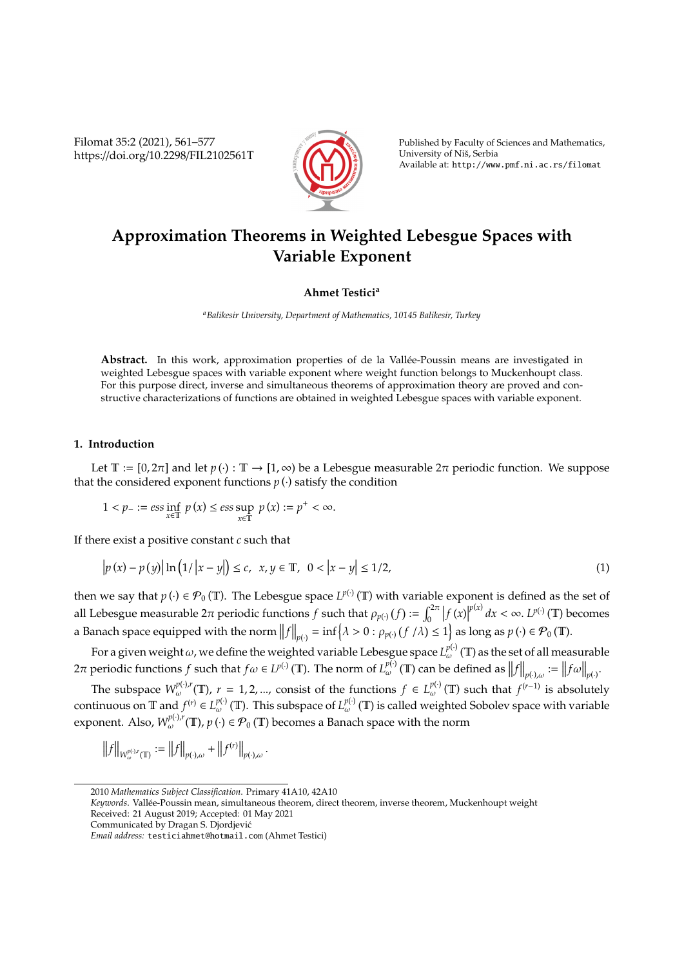Filomat 35:2 (2021), 561–577 https://doi.org/10.2298/FIL2102561T



Published by Faculty of Sciences and Mathematics, University of Niš, Serbia Available at: http://www.pmf.ni.ac.rs/filomat

# **Approximation Theorems in Weighted Lebesgue Spaces with Variable Exponent**

## **Ahmet Testici<sup>a</sup>**

*<sup>a</sup>Balikesir University, Department of Mathematics, 10145 Balikesir, Turkey*

**Abstract.** In this work, approximation properties of de la Vallee-Poussin means are investigated in ´ weighted Lebesgue spaces with variable exponent where weight function belongs to Muckenhoupt class. For this purpose direct, inverse and simultaneous theorems of approximation theory are proved and constructive characterizations of functions are obtained in weighted Lebesgue spaces with variable exponent.

#### **1. Introduction**

Let T :=  $[0, 2\pi]$  and let  $p(\cdot)$ : T  $\rightarrow$   $[1, \infty)$  be a Lebesgue measurable  $2\pi$  periodic function. We suppose that the considered exponent functions  $p(\cdot)$  satisfy the condition

$$
1 < p_- := \operatorname{ess\,inf}_{x \in \mathbb{T}} p(x) \le \operatorname{ess\,sup}_{x \in \mathbb{T}} p(x) := p^+ < \infty.
$$

If there exist a positive constant *c* such that

$$
\left| p(x) - p(y) \right| \ln \left( 1 / \left| x - y \right| \right) \le c, \ \ x, y \in \mathbb{T}, \ \ 0 < \left| x - y \right| \le 1/2, \tag{1}
$$

then we say that  $p(\cdot) \in \mathcal{P}_0(\mathbb{T})$ . The Lebesgue space  $L^{p(\cdot)}(\mathbb{T})$  with variable exponent is defined as the set of all Lebesgue measurable  $2\pi$  periodic functions *f* such that  $\rho_{p(\cdot)}(f) := \int_0^{2\pi} |f(x)|^p$  $p(x)$   $dx < \infty$ .  $L^{p(\cdot)}(\mathbb{T})$  becomes a Banach space equipped with the norm  $||f||_{p(\cdot)} = \inf \{ \lambda > 0 : \rho_{p(\cdot)}(f / \lambda) \le 1 \}$  as long as  $p(\cdot) \in \mathcal{P}_0(\mathbb{T})$ .

For a given weight  $\omega$ , we define the weighted variable Lebesgue space  $L^{p(\cdot)}_{\omega}(\mathbb{T})$  as the set of all measurable 2π periodic functions *f* such that *f*ω ∈ *L*<sup>*p*(·)</sup> (**T**). The norm of *L*<sup>*p*(·)</sup> (**T**) can be defined as  $||f||_{p(\cdot),ω} := ||fω||_{p(\cdot)}$ 

The subspace  $W^{p(\cdot),r}_{\omega}(\mathbb{T})$ ,  $r = 1, 2, ...,$  consist of the functions  $f \in L^{p(\cdot)}_{\omega}(\mathbb{T})$  such that  $f^{(r-1)}$  is absolutely continuous on T and  $f^{(r)} \in L^{p(\cdot)}_{\omega}(\mathbb{T})$ . This subspace of  $L^{p(\cdot)}_{\omega}(\mathbb{T})$  is called weighted Sobolev space with variable exponent. Also,  $W_{\omega}^{p(\cdot),r}(\mathbb{T}), p(\cdot) \in \mathcal{P}_0(\mathbb{T})$  becomes a Banach space with the norm

$$
\|f\|_{W^{p(\cdot),r}_{\omega}(\mathbb{T})}:=\big\|f\big\|_{p(\cdot),\omega}+\big\|f^{(r)}\big\|_{p(\cdot),\omega}.
$$

*Keywords*. Vallee-Poussin mean, simultaneous theorem, direct theorem, inverse theorem, Muckenhoupt weight ´ Received: 21 August 2019; Accepted: 01 May 2021

<sup>2010</sup> *Mathematics Subject Classification*. Primary 41A10, 42A10

Communicated by Dragan S. Djordjevic´

*Email address:* testiciahmet@hotmail.com (Ahmet Testici)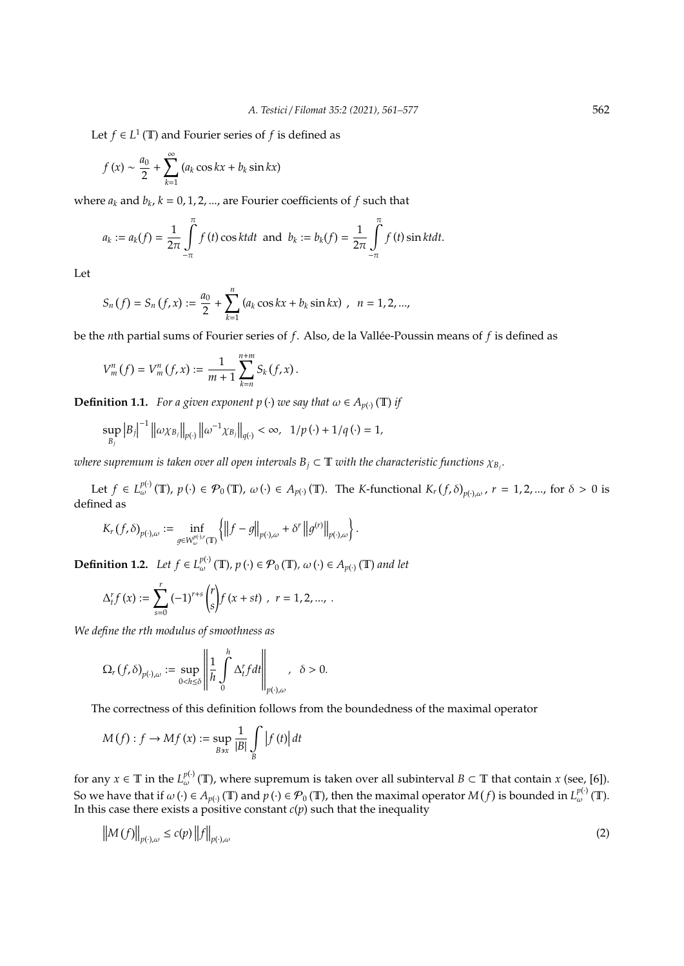Let *f*  $\in$  *L*<sup>1</sup> (**T**) and Fourier series of *f* is defined as

$$
f(x) \sim \frac{a_0}{2} + \sum_{k=1}^{\infty} (a_k \cos kx + b_k \sin kx)
$$

where  $a_k$  and  $b_k$ ,  $k = 0, 1, 2, ...,$  are Fourier coefficients of  $f$  such that

$$
a_k := a_k(f) = \frac{1}{2\pi} \int_{-\pi}^{\pi} f(t) \cos k t dt \text{ and } b_k := b_k(f) = \frac{1}{2\pi} \int_{-\pi}^{\pi} f(t) \sin k t dt.
$$

Let

$$
S_n(f) = S_n(f, x) := \frac{a_0}{2} + \sum_{k=1}^n (a_k \cos kx + b_k \sin kx), \ \ n = 1, 2, ...,
$$

be the *n*th partial sums of Fourier series of *f*. Also, de la Vallée-Poussin means of *f* is defined as

$$
V_m^n(f) = V_m^n(f, x) := \frac{1}{m+1} \sum_{k=n}^{n+m} S_k(f, x).
$$

**Definition 1.1.** *For a given exponent p* (*·*) *we say that*  $\omega \in A_{p(\cdot)}(\mathbb{T})$  *if* 

$$
\sup_{B_j} |B_j|^{-1} ||\omega \chi_{B_j}||_{p(\cdot)} ||\omega^{-1} \chi_{B_j}||_{q(\cdot)} < \infty, \ \ 1/p(\cdot) + 1/q(\cdot) = 1,
$$

where supremum is taken over all open intervals  $B_j \subset \mathbb{T}$  with the characteristic functions  $\chi_{B_j}$ .

Let  $f \in L_{\omega}^{p(\cdot)}(\mathbb{T})$ ,  $p(\cdot) \in \mathcal{P}_0(\mathbb{T})$ ,  $\omega(\cdot) \in A_{p(\cdot)}(\mathbb{T})$ . The *K*-functional  $K_r(f, \delta)_{p(\cdot), \omega}$ ,  $r = 1, 2, ...,$  for  $\delta > 0$  is defined as

.

$$
K_r(f,\delta)_{p(\cdot),\omega} := \inf_{g \in W^{p(\cdot),r}_{\omega}(\mathbb{T})} \left\{ \left\| f - g \right\|_{p(\cdot),\omega} + \delta^r \left\| g^{(r)} \right\|_{p(\cdot),\omega} \right\}
$$

**Definition 1.2.** *Let*  $f \in L^{p(\cdot)}_{\omega}(\mathbb{T}), p(\cdot) \in \mathcal{P}_0(\mathbb{T}), \omega(\cdot) \in A_{p(\cdot)}(\mathbb{T})$  and let

$$
\Delta_t^r f(x) := \sum_{s=0}^r (-1)^{r+s} {r \choose s} f(x+st) , r = 1, 2, ..., .
$$

*We define the rth modulus of smoothness as*

$$
\Omega_r(f,\delta)_{p(\cdot),\omega}:=\sup_{00.
$$

The correctness of this definition follows from the boundedness of the maximal operator

$$
M(f): f \to Mf(x) := \sup_{B \ni x} \frac{1}{|B|} \int_{B} |f(t)| dt
$$

for any  $x \in \mathbb{T}$  in the  $L_{\omega}^{p(\cdot)}(\mathbb{T})$ , where supremum is taken over all subinterval  $B \subset \mathbb{T}$  that contain  $x$  (see, [6]). So we have that if  $\omega(\cdot) \in A_{p(\cdot)}(\mathbb{T})$  and  $p(\cdot) \in \mathcal{P}_0(\mathbb{T})$ , then the maximal operator  $M(f)$  is bounded in  $L^{p(\cdot)}_{\omega}(\mathbb{T})$ . In this case there exists a positive constant  $c(p)$  such that the inequality

$$
\left\|M(f)\right\|_{p(\cdot),\omega} \le c(p)\left\|f\right\|_{p(\cdot),\omega} \tag{2}
$$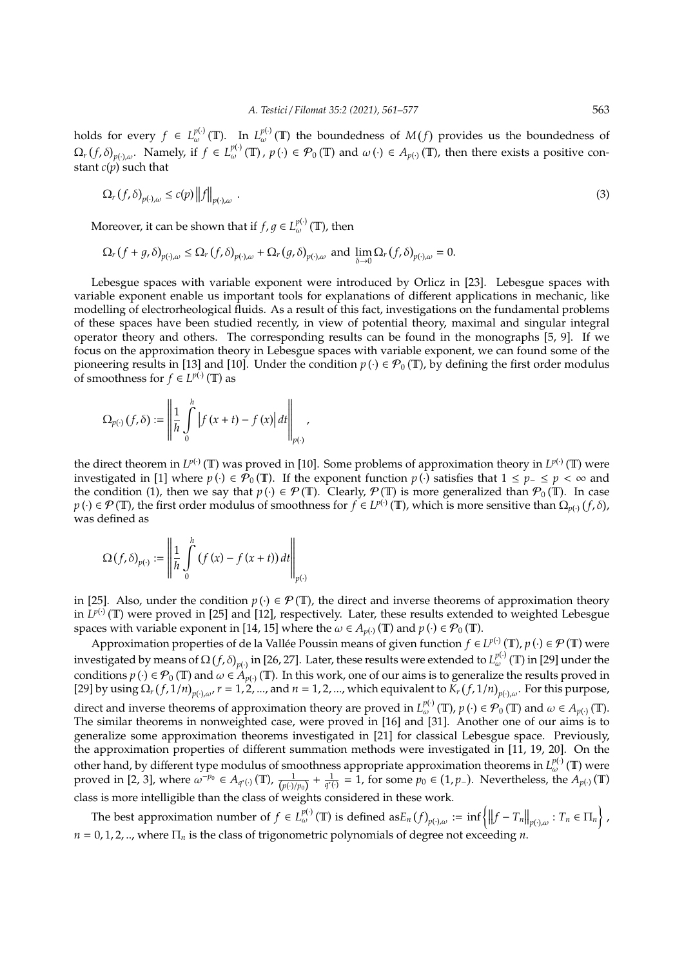holds for every  $f \in L_{\omega}^{p(\cdot)}(\mathbb{T})$ . In  $L_{\omega}^{p(\cdot)}(\mathbb{T})$  the boundedness of  $M(f)$  provides us the boundedness of  $\Omega_r(f,\delta)_{p(\cdot),\omega}$ . Namely, if  $f \in L^{p(\cdot)}_{\omega}(\mathbb{T})$ ,  $p(\cdot) \in \mathcal{P}_0(\mathbb{T})$  and  $\omega(\cdot) \in A_{p(\cdot)}(\mathbb{T})$ , then there exists a positive constant *c*(*p*) such that

$$
\Omega_r(f,\delta)_{p(\cdot),\omega} \le c(p) \|f\|_{p(\cdot),\omega} \tag{3}
$$

Moreover, it can be shown that if  $f,g\in L^{p(\cdot)}_{\omega}(\mathbb{T})$ , then

$$
\Omega_r(f+g,\delta)_{p(\cdot),\omega} \leq \Omega_r(f,\delta)_{p(\cdot),\omega} + \Omega_r(g,\delta)_{p(\cdot),\omega} \text{ and } \lim_{\delta \to 0} \Omega_r(f,\delta)_{p(\cdot),\omega} = 0.
$$

Lebesgue spaces with variable exponent were introduced by Orlicz in [23]. Lebesgue spaces with variable exponent enable us important tools for explanations of different applications in mechanic, like modelling of electrorheological fluids. As a result of this fact, investigations on the fundamental problems of these spaces have been studied recently, in view of potential theory, maximal and singular integral operator theory and others. The corresponding results can be found in the monographs [5, 9]. If we focus on the approximation theory in Lebesgue spaces with variable exponent, we can found some of the pioneering results in [13] and [10]. Under the condition  $p(\cdot) \in \mathcal{P}_0(\mathbb{T})$ , by defining the first order modulus of smoothness for  $f \in L^{p(\cdot)}(\mathbb{T})$  as

$$
\Omega_{p(\cdot)}(f,\delta):=\left\|\frac{1}{h}\int\limits_{0}^{h}\left|f\left(x+t\right)-f\left(x\right)\right|dt\right\|_{p(\cdot)},
$$

the direct theorem in  $L^{p(\cdot)}(\mathbb{T})$  was proved in [10]. Some problems of approximation theory in  $L^{p(\cdot)}(\mathbb{T})$  were investigated in [1] where  $p(\cdot) \in \mathcal{P}_0(\mathbb{T})$ . If the exponent function  $p(\cdot)$  satisfies that  $1 \leq p_- \leq p < \infty$  and the condition (1), then we say that  $p(\cdot) \in \mathcal{P}(\mathbb{T})$ . Clearly,  $\mathcal{P}(\mathbb{T})$  is more generalized than  $\mathcal{P}_0(\mathbb{T})$ . In case  $p(\cdot) \in \mathcal{P}(\mathbb{T})$ , the first order modulus of smoothness for  $f \in L^{p(\cdot)}(\mathbb{T})$ , which is more sensitive than  $\Omega_{p(\cdot)}(f, \delta)$ , was defined as

$$
\Omega(f,\delta)_{p(\cdot)} := \left\| \frac{1}{h} \int\limits_0^h (f(x) - f(x+t)) dt \right\|_{p(\cdot)}
$$

in [25]. Also, under the condition  $p(\cdot) \in \mathcal{P}(\mathbb{T})$ , the direct and inverse theorems of approximation theory in  $L^{p(\cdot)}(\mathbb{T})$  were proved in [25] and [12], respectively. Later, these results extended to weighted Lebesgue spaces with variable exponent in [14, 15] where the  $\omega \in A_{p(\cdot)}(\mathbb{T})$  and  $p(\cdot) \in \mathcal{P}_0(\mathbb{T})$ .

Approximation properties of de la Vallée Poussin means of given function  $f \in L^{p(\cdot)}(\mathbb{T})$ ,  $p(\cdot) \in \mathcal{P}(\mathbb{T})$  were investigated by means of  $\Omega(f, \delta)_{p(\cdot)}$  in [26, 27]. Later, these results were extended to  $L^{p(\cdot)}_{\omega}(\mathbb{T})$  in [29] under the conditions  $p(\cdot) \in \mathcal{P}_0(\mathbb{T})$  and  $\omega \in A_{p(\cdot)}(\mathbb{T})$ . In this work, one of our aims is to generalize the results proved in [29] by using  $\Omega_r(f,1/n)_{p(\cdot),\omega}$ ,  $r=1,2,...$ , and  $n=1,2,...$ , which equivalent to  $K_r(f,1/n)_{p(\cdot),\omega}$ . For this purpose, direct and inverse theorems of approximation theory are proved in  $L^{p(\cdot)}_{\omega}(\mathbb{T})$ ,  $p(\cdot) \in \mathcal{P}_0(\mathbb{T})$  and  $\omega \in A_{p(\cdot)}(\mathbb{T})$ . The similar theorems in nonweighted case, were proved in [16] and [31]. Another one of our aims is to generalize some approximation theorems investigated in [21] for classical Lebesgue space. Previously, the approximation properties of different summation methods were investigated in [11, 19, 20]. On the other hand, by different type modulus of smoothness appropriate approximation theorems in  $L_{\omega}^{p(\cdot)}(\mathbb{T})$  were proved in [2, 3], where  $\omega^{-p_0} \in A_{q^*(.)}(\mathbb{T})$ ,  $\frac{1}{(p^{(.)/p_0})} + \frac{1}{q^*(.)} = 1$ , for some  $p_0 \in (1, p_-)$ . Nevertheless, the  $A_{p(.)}(\mathbb{T})$ class is more intelligible than the class of weights considered in these work.

The best approximation number of  $f \in L^{p(\cdot)}_{\omega}(\mathbb{T})$  is defined as $E_n(f)_{p(\cdot),\omega} := \inf \{ ||f - T_n||_{p(\cdot),\omega} : T_n \in \Pi_n \}$ ,  $n = 0, 1, 2, \ldots$ , where  $\Pi_n$  is the class of trigonometric polynomials of degree not exceeding *n*.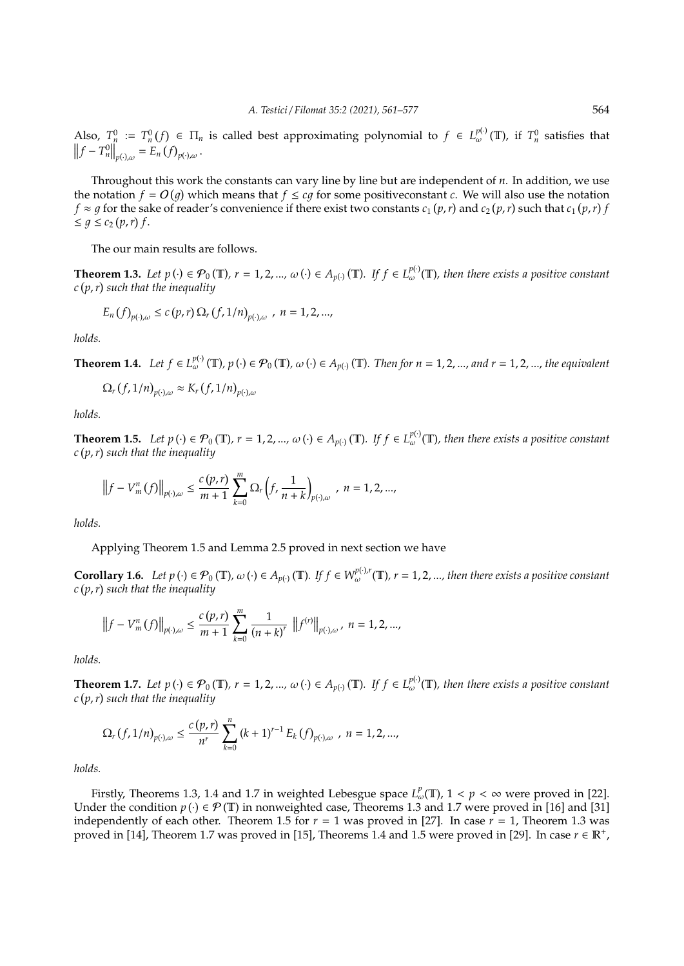Also,  $T_{\mu}^0 := T_n^0(f) \in \Pi_n$  is called best approximating polynomial to  $f \in L_{\omega}^{p(\cdot)}(\mathbb{T})$ , if  $T_n^0$  satisfies that  $||f - T_n^0||_{p(\cdot),\omega} = E_n(f)_{p(\cdot),\omega}.$ 

Throughout this work the constants can vary line by line but are independent of *n*. In addition, we use the notation  $f = O(g)$  which means that  $f \le cg$  for some positive constant *c*. We will also use the notation  $f \approx g$  for the sake of reader's convenience if there exist two constants  $c_1(p,r)$  and  $c_2(p,r)$  such that  $c_1(p,r)$  $\leq g \leq c_2(p,r) f.$ 

The our main results are follows.

**Theorem 1.3.** Let  $p(\cdot) \in \mathcal{P}_0(\mathbb{T})$ ,  $r = 1, 2, ..., \omega(\cdot) \in A_{p(\cdot)}(\mathbb{T})$ . If  $f \in L_{\omega}^{p(\cdot)}(\mathbb{T})$ , then there exists a positive constant *c p*,*r such that the inequality*

$$
E_n(f)_{p(\cdot),\omega} \le c(p,r) \Omega_r(f,1/n)_{p(\cdot),\omega}, n = 1,2,...,
$$

*holds.*

**Theorem 1.4.** Let  $f \in L_{\omega}^{p(\cdot)}(\mathbb{T})$ ,  $p(\cdot) \in \mathcal{P}_0(\mathbb{T})$ ,  $\omega(\cdot) \in A_{p(\cdot)}(\mathbb{T})$ . Then for  $n = 1, 2, ...,$  and  $r = 1, 2, ...,$  the equivalent

$$
\Omega_r(f,1/n)_{p(\cdot),\omega} \approx K_r(f,1/n)_{p(\cdot),\omega}
$$

*holds.*

**Theorem 1.5.** Let  $p(\cdot) \in \mathcal{P}_0(\mathbb{T})$ ,  $r = 1, 2, ..., \omega(\cdot) \in A_{p(\cdot)}(\mathbb{T})$ . If  $f \in L_{\omega}^{p(\cdot)}(\mathbb{T})$ , then there exists a positive constant *c p*,*r such that the inequality*

$$
\left\|f - V_m^n(f)\right\|_{p(\cdot),\omega} \le \frac{c(p,r)}{m+1} \sum_{k=0}^m \Omega_r \left(f, \frac{1}{n+k}\right)_{p(\cdot),\omega}, \ n = 1,2,...,
$$

*holds.*

Applying Theorem 1.5 and Lemma 2.5 proved in next section we have

**Corollary 1.6.** Let  $p(\cdot) \in \mathcal{P}_0(\mathbb{T})$ ,  $\omega(\cdot) \in A_{p(\cdot)}(\mathbb{T})$ . If  $f \in W^{\mathcal{p}(\cdot),r}_{\omega}(\mathbb{T})$ ,  $r = 1, 2, ...,$  then there exists a positive constant *c p*,*r such that the inequality*

$$
\left\|f - V_m^n(f)\right\|_{p(\cdot),\omega} \le \frac{c(p,r)}{m+1} \sum_{k=0}^m \frac{1}{(n+k)^r} \left\|f^{(r)}\right\|_{p(\cdot),\omega}, n = 1,2,...,
$$

*holds.*

**Theorem 1.7.** Let  $p(\cdot) \in \mathcal{P}_0(\mathbb{T})$ ,  $r = 1, 2, ..., \omega(\cdot) \in A_{p(\cdot)}(\mathbb{T})$ . If  $f \in L_{\omega}^{p(\cdot)}(\mathbb{T})$ , then there exists a positive constant *c p*,*r such that the inequality*

$$
\Omega_r\left(f,1/n\right)_{p(\cdot),\omega} \leq \frac{c\left(p,r\right)}{n^r} \sum_{k=0}^n \left(k+1\right)^{r-1} E_k\left(f\right)_{p(\cdot),\omega}, \ n=1,2,...,
$$

*holds.*

Firstly, Theorems 1.3, 1.4 and 1.7 in weighted Lebesgue space  $L^p_\omega(\mathbb{T})$ ,  $1 < p < \infty$  were proved in [22]. Under the condition *p* ( $\cdot$ ) ∈  $\mathcal{P}(\mathbb{T})$  in nonweighted case, Theorems 1.3 and 1.7 were proved in [16] and [31] independently of each other. Theorem 1.5 for  $r = 1$  was proved in [27]. In case  $r = 1$ , Theorem 1.3 was proved in [14], Theorem 1.7 was proved in [15], Theorems 1.4 and 1.5 were proved in [29]. In case  $r \in \mathbb{R}^+$ ,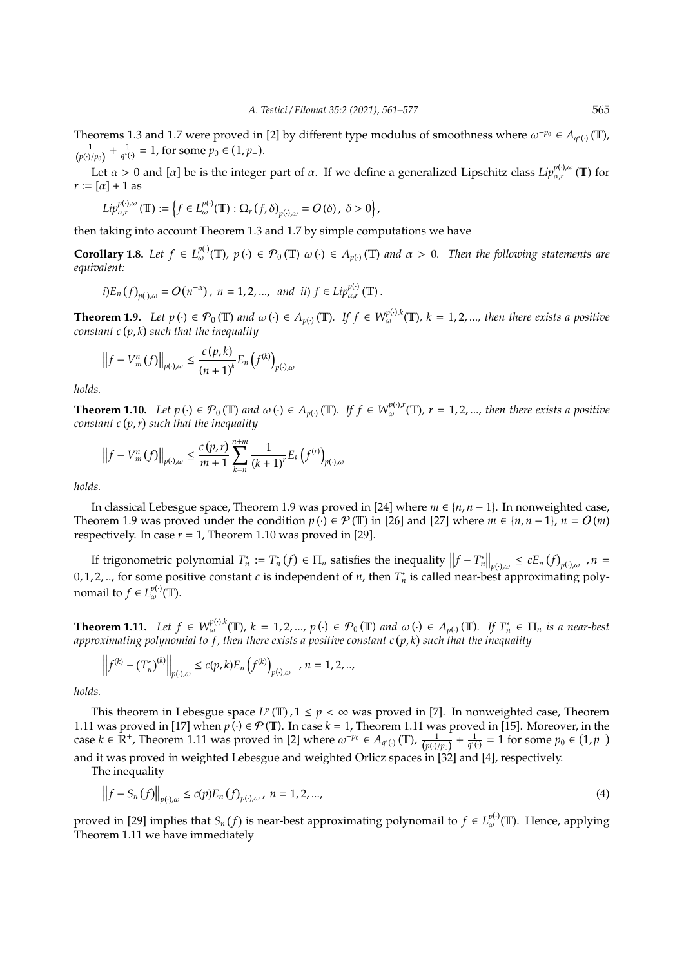Theorems 1.3 and 1.7 were proved in [2] by different type modulus of smoothness where  $\omega^{-p_0} \in A_{q^*(1)}(\mathbb{T})$ ,  $\frac{1}{(p(\cdot)/p_0)} + \frac{1}{q^*(\cdot)} = 1$ , for some  $p_0 \in (1, p_-)$ .

Let  $\alpha > 0$  and [ $\alpha$ ] be is the integer part of  $\alpha$ . If we define a generalized Lipschitz class  $Lip_{\alpha,r}^{p(\cdot),\omega}(\mathbb{T})$  for  $r := [\alpha] + 1$  as

$$
Lip_{\alpha,r}^{p(\cdot),\omega}(\mathbb{T}):=\left\{f\in L_{\omega}^{p(\cdot)}(\mathbb{T}): \Omega_r(f,\delta)_{p(\cdot),\omega}=O(\delta),\ \delta>0\right\},\
$$

then taking into account Theorem 1.3 and 1.7 by simple computations we have

**Corollary 1.8.** Let  $f \in L_{\omega}^{p(\cdot)}(\mathbb{T})$ ,  $p(\cdot) \in \mathcal{P}_0(\mathbb{T})$   $\omega(\cdot) \in A_{p(\cdot)}(\mathbb{T})$  and  $\alpha > 0$ . Then the following statements are *equivalent:*

$$
i)E_n(f)_{p(\cdot),\omega} = O(n^{-\alpha}), n = 1,2,..., and ii) f \in Lip_{\alpha,r}^{p(\cdot)}(\mathbb{T}).
$$

**Theorem 1.9.** Let  $p(\cdot) \in \mathcal{P}_0(\mathbb{T})$  and  $\omega(\cdot) \in A_{p(\cdot)}(\mathbb{T})$ . If  $f \in W_{\omega}^{p(\cdot),k}(\mathbb{T})$ ,  $k = 1, 2, ...,$  then there exists a positive *constant c p*, *k such that the inequality*

$$
\left\|f - V_m^n(f)\right\|_{p(\cdot),\omega} \le \frac{c(p,k)}{(n+1)^k} E_n\left(f^{(k)}\right)_{p(\cdot),\omega}
$$

*holds.*

**Theorem 1.10.** Let  $p(\cdot) \in \mathcal{P}_0(\mathbb{T})$  and  $\omega(\cdot) \in A_{p(\cdot)}(\mathbb{T})$ . If  $f \in W^{p(\cdot),r}_{\omega}(\mathbb{T})$ ,  $r = 1, 2, ...$ , then there exists a positive *constant c p*,*r such that the inequality*

$$
\left\|f - V_m^n(f)\right\|_{p(\cdot),\omega} \le \frac{c(p,r)}{m+1} \sum_{k=n}^{n+m} \frac{1}{(k+1)^r} E_k\left(f^{(r)}\right)_{p(\cdot),\omega}
$$

*holds.*

In classical Lebesgue space, Theorem 1.9 was proved in [24] where *m* ∈ {*n*, *n* − 1}. In nonweighted case, Theorem 1.9 was proved under the condition  $p(\cdot) \in \mathcal{P}(\mathbb{T})$  in [26] and [27] where  $m \in \{n, n-1\}$ ,  $n = O(m)$ respectively. In case  $r = 1$ , Theorem 1.10 was proved in [29].

If trigonometric polynomial  $T_n^* := T_n^*(f) \in \Pi_n$  satisfies the inequality  $||f - T_n^*||_{p(\cdot),\omega} \le cE_n(f)_{p(\cdot),\omega}$ ,  $n =$ 0, 1, 2, .., for some positive constant *c* is independent of *n*, then  $T_n^*$  is called near-best approximating polynomail to  $f \in L_{\omega}^{p(\cdot)}(\mathbb{T})$ .

**Theorem 1.11.** Let  $f \in W^{p(\cdot),k}_{\omega}(\mathbb{T})$ ,  $k = 1, 2, ..., p(\cdot) \in \mathcal{P}_0(\mathbb{T})$  and  $\omega(\cdot) \in A_{p(\cdot)}(\mathbb{T})$ . If  $T_n^* \in \Pi_n$  is a near-best *approximating polynomial to f , then there exists a positive constant c p*, *k such that the inequality*

$$
\left\|f^{(k)} - (T_n^*)^{(k)}\right\|_{p(\cdot),\omega} \le c(p,k)E_n\left(f^{(k)}\right)_{p(\cdot),\omega}, n = 1,2,..,
$$

*holds.*

This theorem in Lebesgue space  $L^p(\mathbb{T})$ ,  $1 \leq p < \infty$  was proved in [7]. In nonweighted case, Theorem 1.11 was proved in [17] when  $p(\cdot) \in \mathcal{P}(\mathbb{T})$ . In case  $k = 1$ , Theorem 1.11 was proved in [15]. Moreover, in the case  $k \in \mathbb{R}^+$ , Theorem 1.11 was proved in [2] where  $\omega^{-p_0} \in A_{q^*(\cdot)}(\mathbb{T})$ ,  $\frac{1}{(p(\cdot)/p_0)} + \frac{1}{q^*(\cdot)} = 1$  for some  $p_0 \in (1, p_-)$ and it was proved in weighted Lebesgue and weighted Orlicz spaces in [32] and [4], respectively.

The inequality

$$
\left\|f - S_n\left(f\right)\right\|_{p(\cdot),\omega} \le c(p) E_n\left(f\right)_{p(\cdot),\omega}, \ n = 1, 2, ..., \tag{4}
$$

proved in [29] implies that  $S_n(f)$  is near-best approximating polynomail to  $f \in L_{\omega}^{p(\cdot)}(\mathbb{T})$ . Hence, applying Theorem 1.11 we have immediately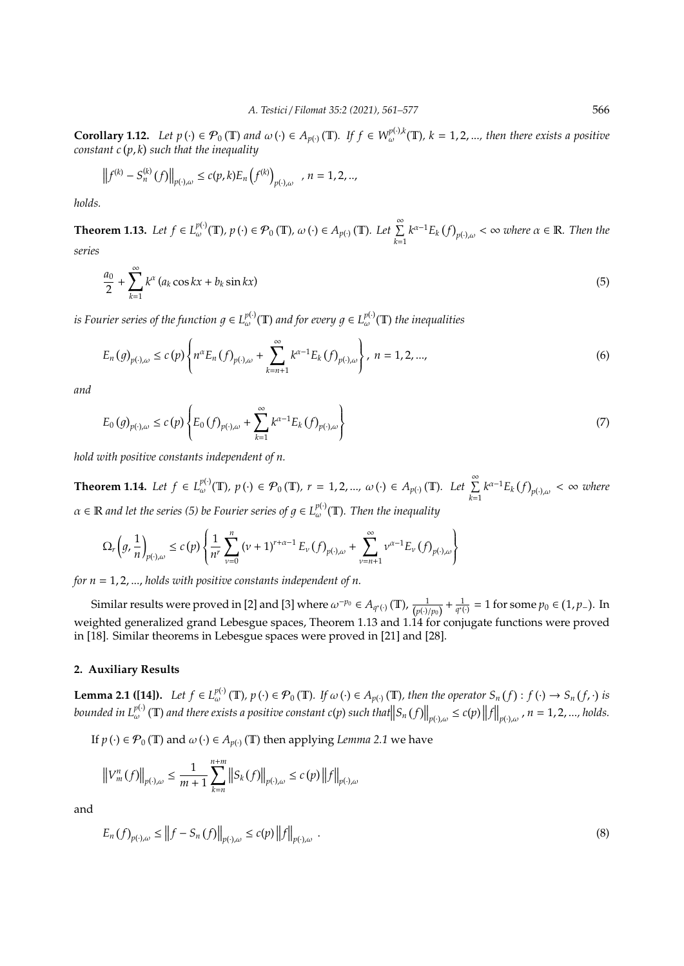**Corollary 1.12.** Let  $p(\cdot) \in \mathcal{P}_0(\mathbb{T})$  and  $\omega(\cdot) \in A_{p(\cdot)}(\mathbb{T})$ . If  $f \in W_{\omega}^{p(\cdot),k}(\mathbb{T})$ ,  $k = 1, 2, ...,$  then there exists a positive *constant c p*, *k such that the inequality*

$$
\left\|f^{(k)} - S_n^{(k)}(f)\right\|_{p(\cdot),\omega} \le c(p,k)E_n\left(f^{(k)}\right)_{p(\cdot),\omega}, n = 1,2,..,
$$

*holds.*

**Theorem 1.13.** Let  $f \in L_{\omega}^{p(\cdot)}(\mathbb{T}), p(\cdot) \in \mathcal{P}_0(\mathbb{T}), \omega(\cdot) \in A_{p(\cdot)}(\mathbb{T})$ . Let  $\sum_{n=1}^{\infty}$ *k*=1  $k^{\alpha-1}E_k(f)_{p(\cdot),\omega}<\infty$  where  $\alpha\in\mathbb{R}$ . Then the *series*

$$
\frac{a_0}{2} + \sum_{k=1}^{\infty} k^{\alpha} \left( a_k \cos kx + b_k \sin kx \right) \tag{5}
$$

is Fourier series of the function  $g\in L^{p(\cdot)}_{\omega}(\mathbb{T})$  and for every  $g\in L^{p(\cdot)}_{\omega}(\mathbb{T})$  the inequalities

$$
E_n(g)_{p(\cdot),\omega} \le c(p) \left\{ n^{\alpha} E_n(f)_{p(\cdot),\omega} + \sum_{k=n+1}^{\infty} k^{\alpha-1} E_k(f)_{p(\cdot),\omega} \right\}, \ n = 1,2,...,\tag{6}
$$

*and*

$$
E_0(g)_{p(\cdot),\omega} \le c(p) \left\{ E_0(f)_{p(\cdot),\omega} + \sum_{k=1}^{\infty} k^{\alpha-1} E_k(f)_{p(\cdot),\omega} \right\}
$$
 (7)

*hold with positive constants independent of n.*

**Theorem 1.14.** *Let*  $f \in L_{\omega}^{p(\cdot)}(\mathbb{T}), p(\cdot) \in \mathcal{P}_0(\mathbb{T}), r = 1, 2, ..., \omega(\cdot) \in A_{p(\cdot)}(\mathbb{T})$ *. Let*  $\sum_{i=1}^{\infty}$ *k*=1  $k^{\alpha-1}E_k(f)_{p(\cdot),\omega} < \infty$  where  $\alpha \in \mathbb{R}$  and let the series (5) be Fourier series of  $g \in L_{\omega}^{p(\cdot)}(\mathbb{T})$ . Then the inequality

$$
\Omega_r\left(g,\frac{1}{n}\right)_{p(\cdot),\omega} \leq c\left(p\right)\left\{\frac{1}{n^r}\sum_{\nu=0}^n\left(\nu+1\right)^{r+\alpha-1}E_\nu\left(f\right)_{p(\cdot),\omega}+\sum_{\nu=n+1}^\infty\nu^{\alpha-1}E_\nu\left(f\right)_{p(\cdot),\omega}\right\}
$$

*for n* = 1, 2, ..., *holds with positive constants independent of n.*

Similar results were proved in [2] and [3] where  $\omega^{-p_0} \in A_{q^*(\cdot)}(\mathbb{T})$ ,  $\frac{1}{(p(\cdot)/p_0)} + \frac{1}{q^*(\cdot)} = 1$  for some  $p_0 \in (1, p_-)$ . In weighted generalized grand Lebesgue spaces, Theorem 1.13 and 1.14 for conjugate functions were proved in [18]. Similar theorems in Lebesgue spaces were proved in [21] and [28].

## **2. Auxiliary Results**

**Lemma 2.1 ([14]).** Let  $f \in L^{p(\cdot)}_{\omega}(\mathbb{T})$ ,  $p(\cdot) \in \mathcal{P}_0(\mathbb{T})$ . If  $\omega(\cdot) \in A_{p(\cdot)}(\mathbb{T})$ , then the operator  $S_n(f) : f(\cdot) \to S_n(f, \cdot)$  is bounded in  $L^{p(\cdot)}_{\omega}(\mathbb{T})$  and there exists a positive constant  $c(p)$  such that  $||S_n(f)||_{p(\cdot),\omega} \le c(p) ||f||_{p(\cdot),\omega}$  ,  $n = 1,2,...$ , holds.

If  $p(\cdot) \in \mathcal{P}_0(\mathbb{T})$  and  $\omega(\cdot) \in A_{p(\cdot)}(\mathbb{T})$  then applying *Lemma* 2.1 we have

$$
\left\|V_{m}^{n}(f)\right\|_{p(\cdot),\omega} \leq \frac{1}{m+1} \sum_{k=n}^{n+m} \left\|S_{k}(f)\right\|_{p(\cdot),\omega} \leq c(p) \left\|f\right\|_{p(\cdot),\omega}
$$

and

$$
E_n(f)_{p(\cdot),\omega} \le ||f - S_n(f)||_{p(\cdot),\omega} \le c(p) ||f||_{p(\cdot),\omega}.
$$
\n(8)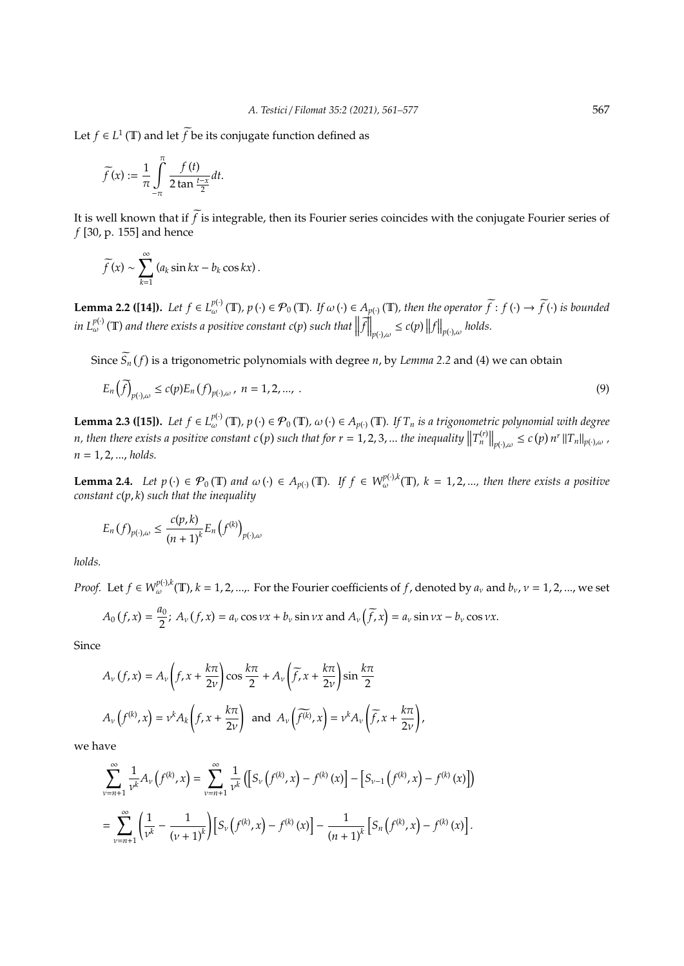Let *f*  $\in$  *L*<sup>1</sup> (**T**) and let *f* be its conjugate function defined as

$$
\widetilde{f}(x) := \frac{1}{\pi} \int_{-\pi}^{\pi} \frac{f(t)}{2 \tan \frac{t-x}{2}} dt.
$$

It is well known that if  $\widetilde{f}$  is integrable, then its Fourier series coincides with the conjugate Fourier series of *f* [30, p. 155] and hence

$$
\widetilde{f}(x) \sim \sum_{k=1}^{\infty} (a_k \sin kx - b_k \cos kx).
$$

**Lemma 2.2 ([14]).** Let  $f \in L^{p(\cdot)}_{\omega}(\mathbb{T}), p(\cdot) \in \mathcal{P}_0(\mathbb{T})$ . If  $\omega(\cdot) \in A_{p(\cdot)}(\mathbb{T})$ , then the operator  $\widetilde{f}: f(\cdot) \to \widetilde{f}(\cdot)$  is bounded  $\inf_{\omega} L^{p(\cdot)}_{\omega}(\mathbb{T})$  and there exists a positive constant  $c(p)$  such that  $\left\| \vec{f} \right\|_{p(\cdot),\omega} \leq c(p) \left\| f \right\|_{p(\cdot),\omega}$  holds.

Since  $S_n(f)$  is a trigonometric polynomials with degree *n*, by *Lemma* 2.2 and (4) we can obtain

$$
E_n\left(\tilde{f}\right)_{p(\cdot),\omega} \le c(p)E_n\left(f\right)_{p(\cdot),\omega}, \ n = 1, 2, ..., \tag{9}
$$

**Lemma 2.3 ([15]).** Let  $f \in L^{p(·)}_{\omega}(\mathbb{T}), p(·) \in \mathcal{P}_0(\mathbb{T}), \omega(·) \in A_{p(·)}(\mathbb{T}).$  If  $T_n$  is a trigonometric polynomial with degree n, then there exists a positive constant  $c(p)$  such that for  $r = 1, 2, 3, ...$  the inequality  $||T_n^{(r)}||_{p(\cdot),\omega} \le c(p) n^r ||T_n||_{p(\cdot),\omega}$ , *n* = 1, 2, ..., *holds.*

**Lemma 2.4.** Let  $p(\cdot) \in \mathcal{P}_0(\mathbb{T})$  and  $\omega(\cdot) \in A_{p(\cdot)}(\mathbb{T})$ . If  $f \in W^{p(\cdot),k}_{\omega}(\mathbb{T})$ ,  $k = 1, 2, ...,$  then there exists a positive *constant c*(*p*, *k*) *such that the inequality*

$$
E_n(f)_{p(\cdot),\omega} \leq \frac{c(p,k)}{(n+1)^k} E_n\left(f^{(k)}\right)_{p(\cdot),\omega}
$$

*holds.*

*Proof.* Let  $f \in W^{p(\cdot),k}_{\omega}(\mathbb{T})$ ,  $k = 1, 2, ...,$  For the Fourier coefficients of  $f$ , denoted by  $a_v$  and  $b_v$ ,  $v = 1, 2, ...,$  we set

$$
A_0(f,x) = \frac{a_0}{2}; A_v(f,x) = a_v \cos vx + b_v \sin vx \text{ and } A_v(\widetilde{f},x) = a_v \sin vx - b_v \cos vx.
$$

Since

$$
A_{\nu}(f,x) = A_{\nu}\left(f, x + \frac{k\pi}{2\nu}\right)\cos\frac{k\pi}{2} + A_{\nu}\left(\widetilde{f}, x + \frac{k\pi}{2\nu}\right)\sin\frac{k\pi}{2}
$$

$$
A_{\nu}\left(f^{(k)}, x\right) = \nu^{k} A_{k}\left(f, x + \frac{k\pi}{2\nu}\right) \text{ and } A_{\nu}\left(\widetilde{f^{(k)}}, x\right) = \nu^{k} A_{\nu}\left(\widetilde{f}, x + \frac{k\pi}{2\nu}\right),
$$

we have

$$
\sum_{\nu=n+1}^{\infty} \frac{1}{\nu^k} A_{\nu} \left( f^{(k)}, x \right) = \sum_{\nu=n+1}^{\infty} \frac{1}{\nu^k} \left( \left[ S_{\nu} \left( f^{(k)}, x \right) - f^{(k)} \left( x \right) \right] - \left[ S_{\nu-1} \left( f^{(k)}, x \right) - f^{(k)} \left( x \right) \right] \right)
$$
  
= 
$$
\sum_{\nu=n+1}^{\infty} \left( \frac{1}{\nu^k} - \frac{1}{(\nu+1)^k} \right) \left[ S_{\nu} \left( f^{(k)}, x \right) - f^{(k)} \left( x \right) \right] - \frac{1}{(n+1)^k} \left[ S_n \left( f^{(k)}, x \right) - f^{(k)} \left( x \right) \right].
$$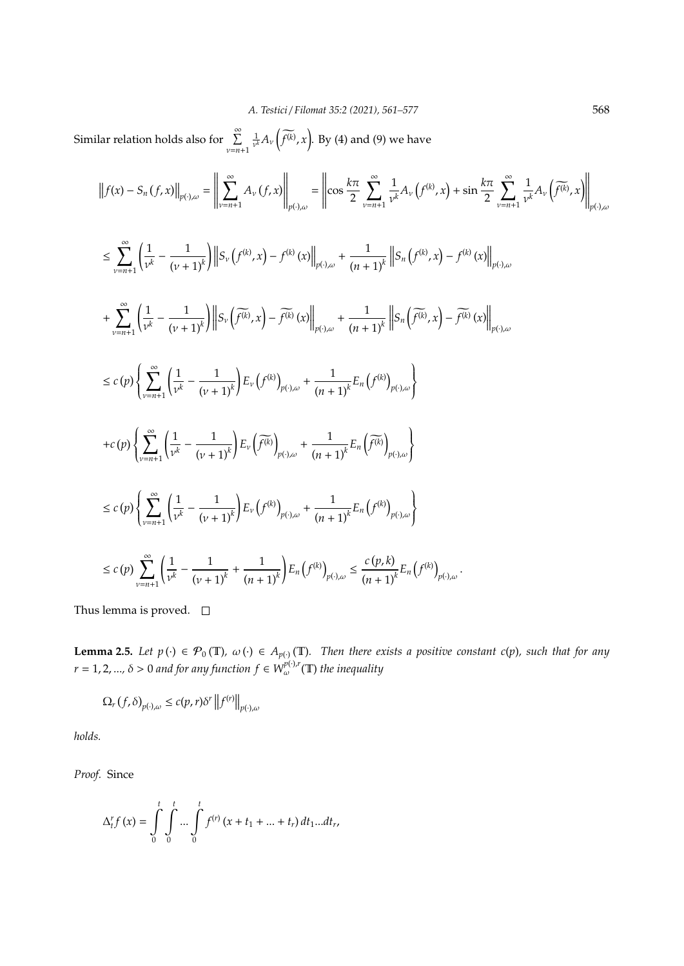Similar relation holds also for  $\sum_{\nu=n+1}^{\infty}$  $\frac{1}{\nu^k}A_\nu\left(\widetilde{f^{(k)}},x\right)$ . By (4) and (9) we have

$$
\|f(x) - S_n(f, x)\|_{p(\cdot),\omega} = \left\| \sum_{\nu=n+1}^{\infty} A_{\nu}(f, x) \right\|_{p(\cdot),\omega} = \left\| \cos \frac{k\pi}{2} \sum_{\nu=n+1}^{\infty} \frac{1}{\nu^k} A_{\nu}(f^{(k)}, x) + \sin \frac{k\pi}{2} \sum_{\nu=n+1}^{\infty} \frac{1}{\nu^k} A_{\nu}(\widetilde{f^{(k)}}, x) \right\|_{p(\cdot),\omega}
$$
  

$$
\leq \sum_{\nu=n+1}^{\infty} \left( \frac{1}{\nu^k} - \frac{1}{(\nu+1)^k} \right) \left\| S_{\nu}(f^{(k)}, x) - f^{(k)}(x) \right\|_{p(\cdot),\omega} + \frac{1}{(n+1)^k} \left\| S_n(f^{(k)}, x) - f^{(k)}(x) \right\|_{p(\cdot),\omega}
$$
  

$$
+ \sum_{\nu=n+1}^{\infty} \left( \frac{1}{\nu^k} - \frac{1}{(\nu+1)^k} \right) \left\| S_{\nu}(\widetilde{f^{(k)}}, x) - \widetilde{f^{(k)}}(x) \right\|_{p(\cdot),\omega} + \frac{1}{(n+1)^k} \left\| S_n(\widetilde{f^{(k)}}, x) - \widetilde{f^{(k)}}(x) \right\|_{p(\cdot),\omega}
$$
  

$$
\leq c(p) \left\{ \sum_{\nu=n+1}^{\infty} \left( \frac{1}{\nu^k} - \frac{1}{(\nu+1)^k} \right) E_{\nu}(f^{(k)})_{p(\cdot),\omega} + \frac{1}{(n+1)^k} E_n(f^{(k)})_{p(\cdot),\omega} \right\}
$$

$$
+c(p)\left\{\sum_{\nu=n+1}^{\infty}\left(\frac{1}{\nu^{k}}-\frac{1}{(\nu+1)^{k}}\right)E_{\nu}\left(\widetilde{f^{(k)}}\right)_{p(\cdot),\omega}+\frac{1}{(n+1)^{k}}E_{n}\left(\widetilde{f^{(k)}}\right)_{p(\cdot),\omega}\right\}
$$

$$
\leq c(p) \left\{ \sum_{\nu=n+1}^{\infty} \left( \frac{1}{\nu^k} - \frac{1}{(\nu+1)^k} \right) E_{\nu} \left( f^{(k)} \right)_{p(\cdot), \omega} + \frac{1}{(n+1)^k} E_n \left( f^{(k)} \right)_{p(\cdot), \omega} \right\}
$$

$$
\leq c(p)\sum_{\nu=n+1}^{\infty}\left(\frac{1}{\nu^k}-\frac{1}{(\nu+1)^k}+\frac{1}{(n+1)^k}\right)E_n\left(f^{(k)}\right)_{p(\cdot),\omega}\leq \frac{c(p,k)}{(n+1)^k}E_n\left(f^{(k)}\right)_{p(\cdot),\omega}.
$$

Thus lemma is proved.  $\square$ 

**Lemma 2.5.** Let  $p(\cdot) \in \mathcal{P}_0(\mathbb{T})$ ,  $\omega(\cdot) \in A_{p(\cdot)}(\mathbb{T})$ . Then there exists a positive constant c(p), such that for any  $r = 1, 2, ..., \delta > 0$  and for any function  $f \in W^{p(\cdot),r}_{\omega}(\mathbb{T})$  the inequality

$$
\Omega_r(f,\delta)_{p(\cdot),\omega} \le c(p,r)\delta^r \left\|f^{(r)}\right\|_{p(\cdot),\omega}
$$

*holds.*

*Proof.* Since

$$
\Delta_t^r f(x) = \int_0^t \int_0^t \dots \int_0^t f^{(r)}(x + t_1 + \dots + t_r) dt_1 \dots dt_r,
$$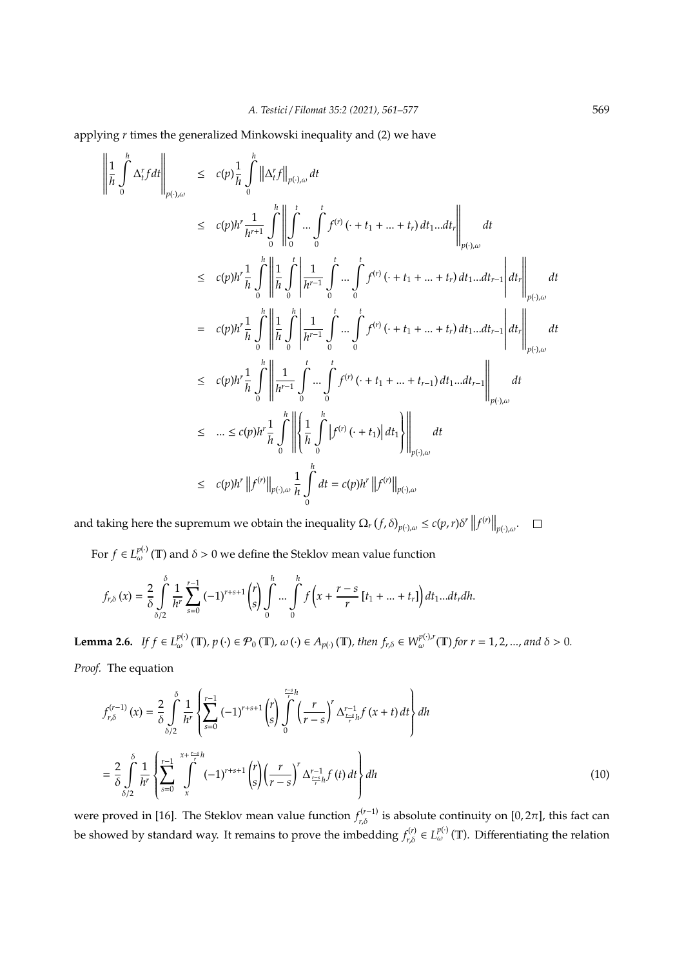applying *r* times the generalized Minkowski inequality and (2) we have

$$
\left\| \frac{1}{h} \int_{0}^{h} \Delta_{t}^{r} f dt \right\|_{p(\cdot),\omega} \leq c(p) \frac{1}{h} \int_{0}^{h} \left\| \Delta_{t}^{r} f \right\|_{p(\cdot),\omega} dt
$$
\n
$$
\leq c(p) h^{r} \frac{1}{h^{r+1}} \int_{0}^{h} \left\| \int_{0}^{t} \cdots \int_{0}^{t} f^{(r)} (\cdot + t_{1} + \cdots + t_{r}) dt_{1} \cdots dt_{r} \right\|_{p(\cdot),\omega}
$$
\n
$$
\leq c(p) h^{r} \frac{1}{h} \int_{0}^{h} \left\| \frac{1}{h} \int_{0}^{t} \left| \frac{1}{h^{r-1}} \int_{0}^{t} \cdots \int_{0}^{t} f^{(r)} (\cdot + t_{1} + \cdots + t_{r}) dt_{1} \cdots dt_{r-1} \right| dt_{r} \right\|_{p(\cdot),\omega}
$$
\n
$$
= c(p) h^{r} \frac{1}{h} \int_{0}^{h} \left\| \frac{1}{h} \int_{0}^{h} \left| \frac{1}{h^{r-1}} \int_{0}^{t} \cdots \int_{0}^{t} f^{(r)} (\cdot + t_{1} + \cdots + t_{r}) dt_{1} \cdots dt_{r-1} \right| dt_{r} \right\|_{p(\cdot),\omega}
$$
\n
$$
\leq c(p) h^{r} \frac{1}{h} \int_{0}^{h} \left\| \frac{1}{h^{r-1}} \int_{0}^{t} \cdots \int_{0}^{t} f^{(r)} (\cdot + t_{1} + \cdots + t_{r-1}) dt_{1} \cdots dt_{r-1} \right\|_{p(\cdot),\omega}
$$
\n
$$
\leq \cdots \leq c(p) h^{r} \frac{1}{h} \int_{0}^{h} \left\| \left\{ \frac{1}{h} \int_{0}^{h} |f^{(r)} (\cdot + t_{1})| dt_{1} \right\} \right\|_{p(\cdot),\omega}
$$
\n
$$
\leq c(p) h^{r} \| f^{(r)} \|_{p(\cdot),\omega} \frac{1}{h} \int_{0}^{h} dt = c(p) h^{r} \| f^{(r)} \|_{p(\cdot),\omega}
$$

and taking here the supremum we obtain the inequality  $\Omega_r(f, \delta)_{p(\cdot), \omega} \le c(p, r)\delta^r ||f^{(r)}||_{p(\cdot), \omega}$ .

For  $f \in L^{p(\cdot)}_{\omega}(\mathbb{T})$  and  $\delta > 0$  we define the Steklov mean value function

$$
f_{r,\delta}(x) = \frac{2}{\delta} \int_{\delta/2}^{\delta} \frac{1}{h^r} \sum_{s=0}^{r-1} (-1)^{r+s+1} {r \choose s} \int_{0}^{h} \cdots \int_{0}^{h} f\left(x + \frac{r-s}{r} \left[t_1 + \ldots + t_r\right]\right) dt_1 \ldots dt_r dh.
$$

**Lemma 2.6.** If  $f \in L_{\omega}^{p(\cdot)}(\mathbb{T})$ ,  $p(\cdot) \in \mathcal{P}_0(\mathbb{T})$ ,  $\omega(\cdot) \in A_{p(\cdot)}(\mathbb{T})$ , then  $f_{r,\delta} \in W_{\omega}^{p(\cdot),r}(\mathbb{T})$  for  $r = 1, 2, ...,$  and  $\delta > 0$ . *Proof.* The equation

$$
f_{r,\delta}^{(r-1)}(x) = \frac{2}{\delta} \int_{\delta/2}^{\delta} \frac{1}{h^r} \left\{ \sum_{s=0}^{r-1} (-1)^{r+s+1} {r \choose s} \int_{0}^{\frac{r-s}{r}} \left( \frac{r}{r-s} \right)^r \Delta_{\frac{r-s}{r}h}^{r-1} f(x+t) dt \right\} dh
$$
  

$$
= \frac{2}{\delta} \int_{\delta/2}^{\delta} \frac{1}{h^r} \left\{ \sum_{s=0}^{r-1} \int_{x}^{x+\frac{r-s}{r}} (-1)^{r+s+1} {r \choose s} \left( \frac{r}{r-s} \right)^r \Delta_{\frac{r-1}{r}h}^{r-1} f(t) dt \right\} dh
$$
(10)

were proved in [16]. The Steklov mean value function  $f_{r,\delta}^{(r-1)}$  is absolute continuity on [0,2 $\pi$ ], this fact can be showed by standard way. It remains to prove the imbedding  $f_{r,\delta}^{(r)} \in L_{\omega}^{p(\cdot)}(\mathbb{T})$ . Differentiating the relation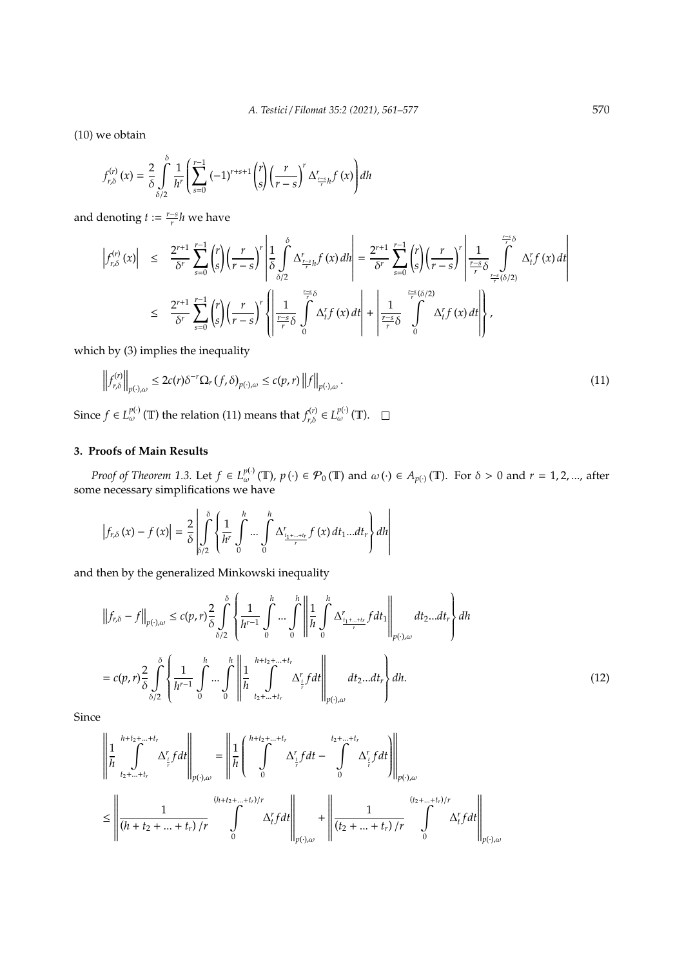(10) we obtain

$$
f_{r,\delta}^{(r)}\left(x\right) = \frac{2}{\delta} \int\limits_{\delta/2}^{\delta} \frac{1}{h^r} \left( \sum_{s=0}^{r-1} \left(-1\right)^{r+s+1} \binom{r}{s} \left(\frac{r}{r-s}\right)^r \Delta_{\frac{r-s}{r}h}^r f\left(x\right) \right) dh
$$

and denoting  $t := \frac{r - s}{r}h$  we have

$$
\left|f_{r,\delta}^{(r)}(x)\right| \leq \frac{2^{r+1}}{\delta^r} \sum_{s=0}^{r-1} {r \choose s} \left(\frac{r}{r-s}\right)^r \left| \frac{1}{\delta} \int_{\delta/2}^{\delta} \Delta_{\frac{r-s}{r}h}^r f(x) \, dh \right| = \frac{2^{r+1}}{\delta^r} \sum_{s=0}^{r-1} {r \choose s} \left(\frac{r}{r-s}\right)^r \left| \frac{1}{\frac{r-s}{r} \delta} \int_{\frac{r-s}{r}(\delta/2)}^{\frac{r-s}{r} \delta} \Delta_f^r f(x) \, dt \right|
$$
  

$$
\leq \frac{2^{r+1}}{\delta^r} \sum_{s=0}^{r-1} {r \choose s} \left(\frac{r}{r-s}\right)^r \left| \frac{1}{\frac{r-s}{r} \delta} \int_{0}^{\frac{r-s}{r} \delta} \Delta_f^r f(x) \, dt \right| + \left| \frac{1}{\frac{r-s}{r} \delta} \int_{0}^{\frac{r-s}{r}(\delta/2)} \Delta_f^r f(x) \, dt \right|,
$$

which by (3) implies the inequality

$$
\left\|f_{r,\delta}^{(r)}\right\|_{p(\cdot),\omega} \leq 2c(r)\delta^{-r}\Omega_r\left(f,\delta\right)_{p(\cdot),\omega} \leq c(p,r)\left\|f\right\|_{p(\cdot),\omega}.
$$
\n(11)

Since  $f \in L_{\omega}^{p(\cdot)}(\mathbb{T})$  the relation (11) means that  $f_{r,\delta}^{(r)} \in L_{\omega}^{p(\cdot)}(\mathbb{T})$ .

# **3. Proofs of Main Results**

*Proof of Theorem 1.3.* Let  $f \in L_{\omega}^{p(\cdot)}(\mathbb{T})$ ,  $p(\cdot) \in \mathcal{P}_0(\mathbb{T})$  and  $\omega(\cdot) \in A_{p(\cdot)}(\mathbb{T})$ . For  $\delta > 0$  and  $r = 1, 2, ...,$  after some necessary simplifications we have

$$
\left|f_{r,\delta}\left(x\right)-f\left(x\right)\right|=\frac{2}{\delta}\left|\intop_{\delta/2}^{\delta}\left\{\frac{1}{h^{r}}\intop_{0}^{h}\cdots\intop_{0}^{h}\Delta_{\frac{t_{1}+\cdots+t_{r}}{r}}^{r}f\left(x\right)dt_{1}...dt_{r}\right\}dh\right|
$$

and then by the generalized Minkowski inequality

$$
\left\|f_{r,\delta} - f\right\|_{p(\cdot),\omega} \le c(p,r)\frac{2}{\delta} \int_{\delta/2}^{\delta} \left\{ \frac{1}{h^{r-1}} \int_{0}^{h} \cdots \int_{0}^{h} \left\| \frac{1}{h} \int_{0}^{h} \Delta_{\frac{t_{1}+\ldots+t_{r}}{r}}^{r} f dt_{1} \right\|_{p(\cdot),\omega} dt_{2} \ldots dt_{r} \right\} dh
$$
  

$$
= c(p,r)\frac{2}{\delta} \int_{\delta/2}^{\delta} \left\{ \frac{1}{h^{r-1}} \int_{0}^{h} \cdots \int_{0}^{h} \left\| \frac{1}{h} \int_{t_{2}+\ldots+t_{r}}^{h+h_{2}+\ldots+h_{r}} \Delta_{\frac{t}{r}}^{r} f dt \right\|_{p(\cdot),\omega} dt_{2} \ldots dt_{r} \right\} dh.
$$
 (12)

Since

$$
\begin{split} &\left\|\frac{1}{h}\int\limits_{t_{2}+\ldots+t_{r}}^{h+t_{2}+\ldots+t_{r}}\Delta_{\frac{r}{r}}^{r}fdt\right\|_{p(\cdot),\omega}=\left\|\frac{1}{h}\left(\int\limits_{0}^{h+t_{2}+\ldots+t_{r}}\Delta_{\frac{r}{r}}^{r}fdt-\int\limits_{0}^{t_{2}+\ldots+t_{r}}\Delta_{\frac{r}{r}}^{r}fdt\right)\right\|_{p(\cdot),\omega}\\ &\leq\left\|\frac{1}{(h+t_{2}+\ldots+t_{r})/r}\int\limits_{0}^{(h+t_{2}+\ldots+t_{r})/r}\Delta_{t}^{r}fdt\right\|_{p(\cdot),\omega}+\left\|\frac{1}{(t_{2}+\ldots+t_{r})/r}\int\limits_{0}^{(t_{2}+\ldots+t_{r})/r}\Delta_{t}^{r}fdt\right\|_{p(\cdot),\omega}\end{split}
$$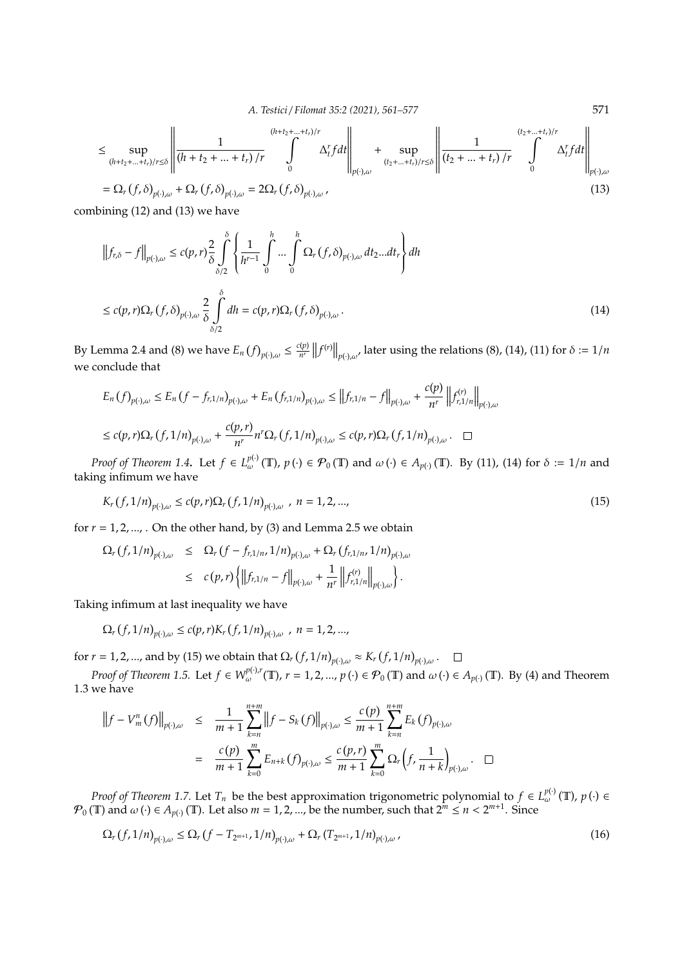*A. Testici* / *Filomat 35:2 (2021), 561–577* 571

$$
\leq \sup_{(h+t_2+\ldots+t_r)/r\leq \delta} \left\| \frac{1}{(h+t_2+\ldots+t_r)/r} \int\limits_{0}^{(h+t_2+\ldots+t_r)/r} \Delta_t^r f dt \right\|_{p(\cdot),\omega} + \sup_{(t_2+\ldots+t_r)/r\leq \delta} \left\| \frac{1}{(t_2+\ldots+t_r)/r} \int\limits_{0}^{(t_2+\ldots+t_r)/r} \Delta_t^r f dt \right\|_{p(\cdot),\omega}
$$
\n
$$
= \Omega_r(f,\delta)_{p(\cdot),\omega} + \Omega_r(f,\delta)_{p(\cdot),\omega} = 2\Omega_r(f,\delta)_{p(\cdot),\omega}, \tag{13}
$$

combining (12) and (13) we have

$$
\left\|f_{r,\delta} - f\right\|_{p(\cdot),\omega} \le c(p,r)\frac{2}{\delta}\int_{\delta/2}^{\delta}\left\{\frac{1}{h^{r-1}}\int_{0}^{h}\cdots\int_{0}^{h}\Omega_{r}\left(f,\delta\right)_{p(\cdot),\omega}dt_{2}...dt_{r}\right\}dh
$$
  

$$
\le c(p,r)\Omega_{r}\left(f,\delta\right)_{p(\cdot),\omega}\frac{2}{\delta}\int_{\delta/2}^{\delta}dh = c(p,r)\Omega_{r}\left(f,\delta\right)_{p(\cdot),\omega}.
$$
 (14)

By Lemma 2.4 and (8) we have  $E_n(f)_{p(\cdot),\omega} \leq \frac{c(p)}{n^r}$  $\lim_{n'}\left\|f^{(r)}\right\|_{p(\cdot),\omega'}$  later using the relations (8), (14), (11) for  $\delta:=1/n$ we conclude that

$$
E_n(f)_{p(\cdot),\omega} \le E_n(f - f_{r,1/n})_{p(\cdot),\omega} + E_n(f_{r,1/n})_{p(\cdot),\omega} \le ||f_{r,1/n} - f||_{p(\cdot),\omega} + \frac{c(p)}{n^r} ||f_{r,1/n}^{(r)}||_{p(\cdot),\omega}
$$
  

$$
\le c(p,r)\Omega_r(f,1/n)_{p(\cdot),\omega} + \frac{c(p,r)}{n^r}n^r\Omega_r(f,1/n)_{p(\cdot),\omega} \le c(p,r)\Omega_r(f,1/n)_{p(\cdot),\omega}. \quad \Box
$$

*Proof of Theorem 1.4*. Let  $f \in L_{\omega}^{p(\cdot)}(\mathbb{T})$ ,  $p(\cdot) \in \mathcal{P}_0(\mathbb{T})$  and  $\omega(\cdot) \in A_{p(\cdot)}(\mathbb{T})$ . By (11), (14) for  $\delta := 1/n$  and taking infimum we have

$$
K_r(f,1/n)_{p(\cdot),\omega} \le c(p,r)\Omega_r(f,1/n)_{p(\cdot),\omega}, n = 1,2,...,
$$
\n(15)

for  $r = 1, 2, \ldots$ , On the other hand, by (3) and Lemma 2.5 we obtain

$$
\Omega_r(f,1/n)_{p(\cdot),\omega} \leq \Omega_r(f-f_{r,1/n},1/n)_{p(\cdot),\omega} + \Omega_r(f_{r,1/n},1/n)_{p(\cdot),\omega}
$$
\n
$$
\leq c(p,r) \left\{ \left\| f_{r,1/n} - f \right\|_{p(\cdot),\omega} + \frac{1}{n^r} \left\| f_{r,1/n}^{(r)} \right\|_{p(\cdot),\omega} \right\}.
$$

Taking infimum at last inequality we have

 $\Omega_r(f,1/n)_{p(\cdot),\omega} \le c(p,r)K_r(f,1/n)_{p(\cdot),\omega}$ ,  $n=1,2,...,n$ 

for *r* = 1, 2, ..., and by (15) we obtain that  $\Omega_r(f,1/n)_{p(\cdot),\omega} \approx K_r(f,1/n)_{p(\cdot),\omega}$ .

*Proof of Theorem 1.5.* Let  $f \in W^{p(\cdot),r}_{\omega}(\mathbb{T})$ ,  $r = 1, 2, ..., p(\cdot) \in \mathcal{P}_0(\mathbb{T})$  and  $\omega(\cdot) \in A_{p(\cdot)}(\mathbb{T})$ . By (4) and Theorem 1.3 we have

$$
||f - V_m^n(f)||_{p(\cdot),\omega} \le \frac{1}{m+1} \sum_{k=n}^{n+m} ||f - S_k(f)||_{p(\cdot),\omega} \le \frac{c(p)}{m+1} \sum_{k=n}^{n+m} E_k(f)_{p(\cdot),\omega}
$$
  

$$
= \frac{c(p)}{m+1} \sum_{k=0}^m E_{n+k}(f)_{p(\cdot),\omega} \le \frac{c(p,r)}{m+1} \sum_{k=0}^m \Omega_r \left( f, \frac{1}{n+k} \right)_{p(\cdot),\omega} . \quad \Box
$$

*Proof of Theorem 1.7.* Let  $T_n$  be the best approximation trigonometric polynomial to  $f \in L_{\omega}^{p(\cdot)}(\mathbb{T})$ ,  $p(\cdot) \in$  $\mathcal{P}_0(\mathbb{T})$  and  $\omega(\cdot) \in A_{p(\cdot)}(\mathbb{T})$ . Let also  $m = 1, 2, ...,$  be the number, such that  $2^m \le n < 2^{m+1}$ . Since

$$
\Omega_r(f,1/n)_{p(\cdot),\omega} \le \Omega_r(f - T_{2^{m+1}},1/n)_{p(\cdot),\omega} + \Omega_r(T_{2^{m+1}},1/n)_{p(\cdot),\omega},\tag{16}
$$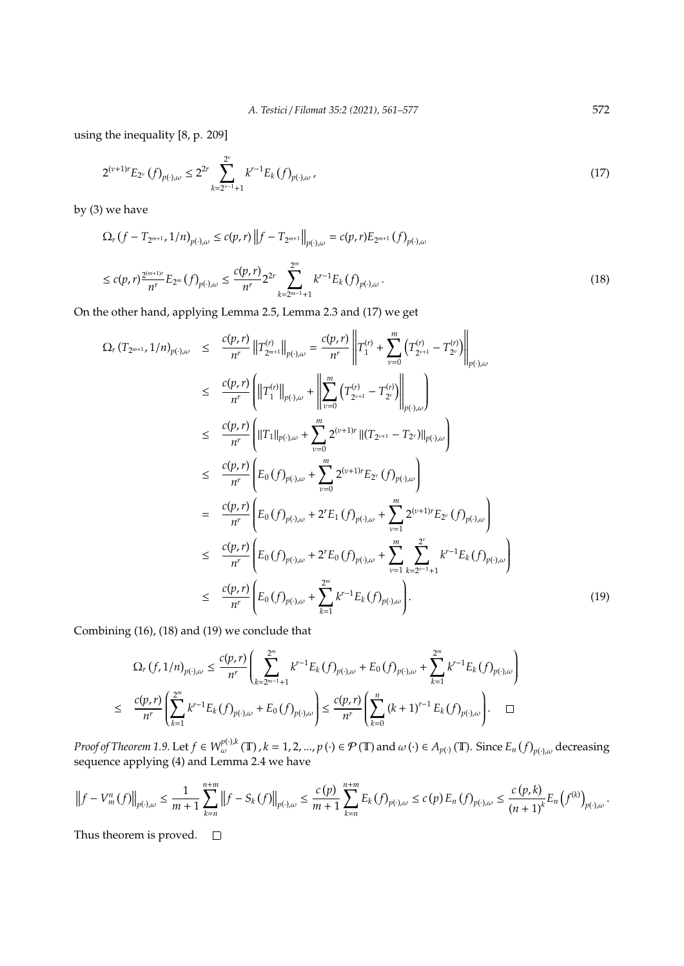using the inequality [8, p. 209]

$$
2^{(\nu+1)r}E_{2^{\nu}}(f)_{p(\cdot),\omega} \le 2^{2r} \sum_{k=2^{\nu-1}+1}^{2^{\nu}} k^{r-1} E_k(f)_{p(\cdot),\omega},\tag{17}
$$

by (3) we have

$$
\Omega_r(f - T_{2^{m+1}}, 1/n)_{p(\cdot),\omega} \le c(p, r) \|f - T_{2^{m+1}}\|_{p(\cdot),\omega} = c(p, r) E_{2^{m+1}}(f)_{p(\cdot),\omega}
$$
\n
$$
\le c(p, r) \frac{2^{(m+1)r}}{n^r} E_{2^m}(f)_{p(\cdot),\omega} \le \frac{c(p, r)}{n^r} 2^{2r} \sum_{k=2^{m-1}+1}^{2^m} k^{r-1} E_k(f)_{p(\cdot),\omega}.
$$
\n(18)

On the other hand, applying Lemma 2.5, Lemma 2.3 and (17) we get

$$
\Omega_r(T_{2^{m+1}}, 1/n)_{p(\cdot),\omega} \leq \frac{c(p,r)}{n^r} \|T_{2^{m+1}}^{(r)}\|_{p(\cdot),\omega} = \frac{c(p,r)}{n^r} \|T_1^{(r)} + \sum_{\nu=0}^m (T_{2^{\nu+1}}^{(r)} - T_{2^{\nu}}^{(r)})\|_{p(\cdot),\omega}
$$
\n
$$
\leq \frac{c(p,r)}{n^r} \left( \|T_1^{(r)}\|_{p(\cdot),\omega} + \left\|\sum_{\nu=0}^m (T_{2^{\nu+1}}^{(r)} - T_{2^{\nu}}^{(r)})\right\|_{p(\cdot),\omega} \right)
$$
\n
$$
\leq \frac{c(p,r)}{n^r} \left( \|T_1\|_{p(\cdot),\omega} + \sum_{\nu=0}^m 2^{(\nu+1)r} \| (T_{2^{\nu+1}} - T_{2^{\nu}}) \|_{p(\cdot),\omega} \right)
$$
\n
$$
\leq \frac{c(p,r)}{n^r} \left( E_0(f)_{p(\cdot),\omega} + \sum_{\nu=0}^m 2^{(\nu+1)r} E_{2^{\nu}}(f)_{p(\cdot),\omega} \right)
$$
\n
$$
= \frac{c(p,r)}{n^r} \left( E_0(f)_{p(\cdot),\omega} + 2^r E_1(f)_{p(\cdot),\omega} + \sum_{\nu=1}^m \frac{2^{\nu}}{2^{(\nu+1)r} E_{2^{\nu}}(f)_{p(\cdot),\omega} \right)
$$
\n
$$
\leq \frac{c(p,r)}{n^r} \left( E_0(f)_{p(\cdot),\omega} + 2^r E_0(f)_{p(\cdot),\omega} + \sum_{\nu=1}^m \sum_{k=2^{\nu-1}+1} 2^{k-1} E_k(f)_{p(\cdot),\omega} \right)
$$
\n
$$
\leq \frac{c(p,r)}{n^r} \left( E_0(f)_{p(\cdot),\omega} + \sum_{k=1}^m k^{r-1} E_k(f)_{p(\cdot),\omega} \right).
$$
\n(19)

Combining (16), (18) and (19) we conclude that

$$
\Omega_r(f,1/n)_{p(\cdot),\omega} \leq \frac{c(p,r)}{n^r} \left( \sum_{k=2^{m-1}+1}^{2^m} k^{r-1} E_k(f)_{p(\cdot),\omega} + E_0(f)_{p(\cdot),\omega} + \sum_{k=1}^{2^m} k^{r-1} E_k(f)_{p(\cdot),\omega} \right)
$$
  

$$
\leq \frac{c(p,r)}{n^r} \left( \sum_{k=1}^{2^m} k^{r-1} E_k(f)_{p(\cdot),\omega} + E_0(f)_{p(\cdot),\omega} \right) \leq \frac{c(p,r)}{n^r} \left( \sum_{k=0}^n (k+1)^{r-1} E_k(f)_{p(\cdot),\omega} \right). \quad \Box
$$

 $Proof$  of Theorem 1.9. Let  $f \in W^{p(\cdot),k}_{\omega}(\mathbb{T})$  ,  $k = 1,2,...,p\left(\cdot\right) \in \mathcal{P}\left(\mathbb{T}\right)$  and  $\omega\left(\cdot\right) \in A_{p(\cdot)}(\mathbb{T})$ . Since  $E_n\left(f\right)_{p(\cdot),\omega}$  decreasing sequence applying (4) and Lemma 2.4 we have

$$
\left\|f - V_m^n(f)\right\|_{p(\cdot),\omega} \leq \frac{1}{m+1} \sum_{k=n}^{n+m} \left\|f - S_k(f)\right\|_{p(\cdot),\omega} \leq \frac{c(p)}{m+1} \sum_{k=n}^{n+m} E_k(f)_{p(\cdot),\omega} \leq c(p) E_n(f)_{p(\cdot),\omega} \leq \frac{c(p,k)}{(n+1)^k} E_n\left(f^{(k)}\right)_{p(\cdot),\omega}.
$$

Thus theorem is proved.  $\square$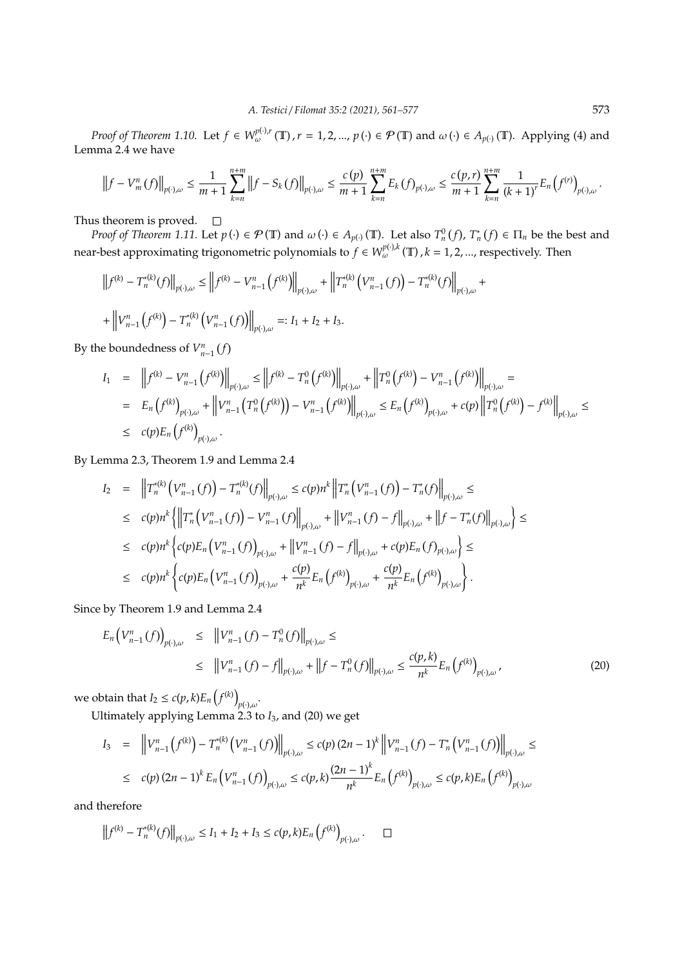*Proof of Theorem 1.10.* Let  $f \in W^{p(\cdot),r}_{\omega}(\mathbb{T}), r = 1, 2, ..., p(\cdot) \in \mathcal{P}(\mathbb{T})$  and  $\omega(\cdot) \in A_{p(\cdot)}(\mathbb{T})$ . Applying (4) and Lemma 2.4 we have

$$
\left\|f - V_m^n(f)\right\|_{p(\cdot),\omega} \leq \frac{1}{m+1} \sum_{k=n}^{n+m} \left\|f - S_k(f)\right\|_{p(\cdot),\omega} \leq \frac{c(p)}{m+1} \sum_{k=n}^{n+m} E_k(f)_{p(\cdot),\omega} \leq \frac{c(p,r)}{m+1} \sum_{k=n}^{n+m} \frac{1}{(k+1)^r} E_n\left(f^{(r)}\right)_{p(\cdot),\omega}.
$$

Thus theorem is proved.  $\square$ 

*Proof of Theorem 1.11.* Let  $p(\cdot) \in \mathcal{P}(\mathbb{T})$  and  $\omega(\cdot) \in A_{p(\cdot)}(\mathbb{T})$ . Let also  $T_n^0(f)$ ,  $T_n^*(f) \in \Pi_n$  be the best and near-best approximating trigonometric polynomials to  $f \in W^{p(\cdot),k}_{\omega}(\mathbb{T})$  ,  $k = 1, 2, ...,$  respectively. Then

$$
\left\|f^{(k)} - T_n^{*(k)}(f)\right\|_{p(\cdot),\omega} \le \left\|f^{(k)} - V_{n-1}^n\left(f^{(k)}\right)\right\|_{p(\cdot),\omega} + \left\|T_n^{*(k)}\left(V_{n-1}^n\left(f\right)\right) - T_n^{*(k)}(f)\right\|_{p(\cdot),\omega} + \left\|V_{n-1}^n\left(f^{(k)}\right) - T_n^{*(k)}\left(V_{n-1}^n\left(f\right)\right)\right\|_{p(\cdot),\omega} =: I_1 + I_2 + I_3.
$$

By the boundedness of  $V_{n-1}^n(f)$ 

$$
I_{1} = ||f^{(k)} - V_{n-1}^{n} (f^{(k)})||_{p(\cdot),\omega} \le ||f^{(k)} - T_{n}^{0} (f^{(k)})||_{p(\cdot),\omega} + ||T_{n}^{0} (f^{(k)}) - V_{n-1}^{n} (f^{(k)})||_{p(\cdot),\omega} =
$$
  
\n
$$
= E_{n} (f^{(k)})_{p(\cdot),\omega} + ||V_{n-1}^{n} (T_{n}^{0} (f^{(k)})) - V_{n-1}^{n} (f^{(k)})||_{p(\cdot),\omega} \le E_{n} (f^{(k)})_{p(\cdot),\omega} + c(p) ||T_{n}^{0} (f^{(k)}) - f^{(k)}||_{p(\cdot),\omega} \le
$$
  
\n
$$
\le c(p) E_{n} (f^{(k)})_{p(\cdot),\omega}.
$$

By Lemma 2.3, Theorem 1.9 and Lemma 2.4

$$
I_{2} = ||T_{n}^{*(k)}(V_{n-1}^{n}(f)) - T_{n}^{*(k)}(f)||_{p(\cdot),\omega} \le c(p)n^{k} ||T_{n}^{*}(V_{n-1}^{n}(f)) - T_{n}^{*}(f)||_{p(\cdot),\omega} \le
$$
  
\n
$$
\le c(p)n^{k} \{ ||T_{n}^{*}(V_{n-1}^{n}(f)) - V_{n-1}^{n}(f)||_{p(\cdot),\omega} + ||V_{n-1}^{n}(f) - f||_{p(\cdot),\omega} + ||f - T_{n}^{*}(f)||_{p(\cdot),\omega} \} \le
$$
  
\n
$$
\le c(p)n^{k} \{c(p)E_{n}(V_{n-1}^{n}(f))_{p(\cdot),\omega} + ||V_{n-1}^{n}(f) - f||_{p(\cdot),\omega} + c(p)E_{n}(f)_{p(\cdot),\omega} \} \le
$$
  
\n
$$
\le c(p)n^{k} \{c(p)E_{n}(V_{n-1}^{n}(f))_{p(\cdot),\omega} + \frac{c(p)}{n^{k}}E_{n}(f^{(k)})_{p(\cdot),\omega} + \frac{c(p)}{n^{k}}E_{n}(f^{(k)})_{p(\cdot),\omega} \}.
$$

Since by Theorem 1.9 and Lemma 2.4

$$
E_n\left(V_{n-1}^n(f)\right)_{p(\cdot),\omega} \leq \|V_{n-1}^n(f) - T_n^0(f)\|_{p(\cdot),\omega} \leq
$$
  
 
$$
\leq \|V_{n-1}^n(f) - f\|_{p(\cdot),\omega} + \|f - T_n^0(f)\|_{p(\cdot),\omega} \leq \frac{c(p,k)}{n^k} E_n\left(f^{(k)}\right)_{p(\cdot),\omega}, \tag{20}
$$

we obtain that  $I_2 \le c(p, k) E_n(f^{(k)})$ *p*(·),ω .

Ultimately applying Lemma 2.3 to *I*3, and (20) we get

$$
I_3 = \|V_{n-1}^n(f^{(k)}) - T_n^{*(k)}(V_{n-1}^n(f))\|_{p(\cdot),\omega} \le c(p) (2n-1)^k \|V_{n-1}^n(f) - T_n^*(V_{n-1}^n(f))\|_{p(\cdot),\omega} \le c(p) (2n-1)^k E_n(V_{n-1}^n(f))_{p(\cdot),\omega} \le c(p,k) \frac{(2n-1)^k}{n^k} E_n(f^{(k)})_{p(\cdot),\omega} \le c(p,k) E_n(f^{(k)})_{p(\cdot),\omega}
$$

and therefore

$$
\left\|f^{(k)} - T_n^{*(k)}(f)\right\|_{p(\cdot),\omega} \le I_1 + I_2 + I_3 \le c(p,k)E_n\left(f^{(k)}\right)_{p(\cdot),\omega}. \quad \Box
$$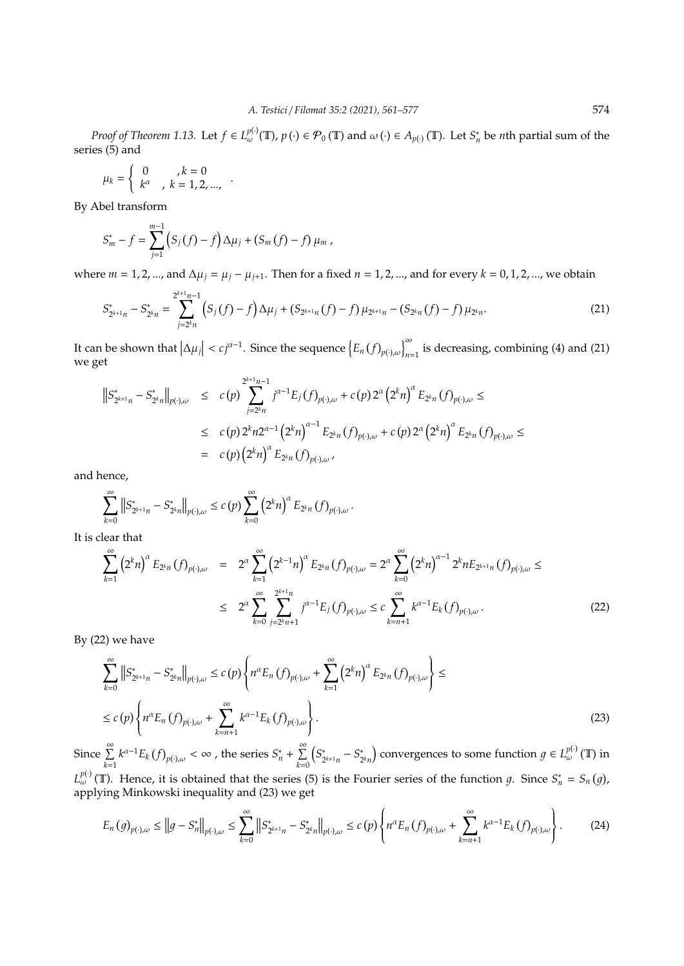*Proof of Theorem 1.13.* Let  $f \in L^{p(\cdot)}_{\omega}(\mathbb{T})$ ,  $p(\cdot) \in \mathcal{P}_0(\mathbb{T})$  and  $\omega(\cdot) \in A_{p(\cdot)}(\mathbb{T})$ . Let  $S_n^*$  be *n*th partial sum of the series (5) and

$$
\mu_k = \begin{cases} 0, & k = 0 \\ k^{\alpha}, & k = 1, 2, ..., \end{cases}
$$

By Abel transform

$$
S_m^* - f = \sum_{j=1}^{m-1} (S_j(f) - f) \Delta \mu_j + (S_m(f) - f) \mu_m,
$$

where *m* = 1, 2, ..., and Δ $μ$ <sub>*j*</sub> =  $μ$ <sub>*j*</sub> −  $μ$ <sub>*j*+1</sub>. Then for a fixed *n* = 1, 2, ..., and for every *k* = 0, 1, 2, ..., we obtain

$$
S_{2^{k+1}n}^* - S_{2^kn}^* = \sum_{j=2^kn}^{2^{k+1}n-1} \left( S_j(f) - f \right) \Delta \mu_j + \left( S_{2^{k+1}n}(f) - f \right) \mu_{2^{k+1}n} - \left( S_{2^kn}(f) - f \right) \mu_{2^kn}.
$$
\n(21)

It can be shown that  $|\Delta \mu_j| < c j^{\alpha-1}$ . Since the sequence  $\left\{ E_n (f)_{p(\cdot),\omega} \right\}_{n=1}^{\infty}$  is decreasing, combining (4) and (21) we get

$$
\begin{array}{lcl} \left\|S_{2^{k+1}n}^* - S_{2^kn}^*\right\|_{p(\cdot),\omega} & \leq & c(p) \sum_{j=2^kn}^{2^{k+1}n-1}j^{\alpha-1}E_j\left(f\right)_{p(\cdot),\omega} + c(p) \, 2^{\alpha} \left(2^kn\right)^{\alpha}E_{2^kn}\left(f\right)_{p(\cdot),\omega} \leq \\ & \leq & c(p) \, 2^kn2^{\alpha-1} \left(2^kn\right)^{\alpha-1}E_{2^kn}\left(f\right)_{p(\cdot),\omega} + c(p) \, 2^{\alpha} \left(2^kn\right)^{\alpha}E_{2^kn}\left(f\right)_{p(\cdot),\omega} \leq \\ & = & c(p) \left(2^kn\right)^{\alpha}E_{2^kn}\left(f\right)_{p(\cdot),\omega}, \end{array}
$$

and hence,

$$
\sum_{k=0}^{\infty} \left\| S_{2^{k+1}n}^* - S_{2^k n}^* \right\|_{p(\cdot),\omega} \le c \, (p) \sum_{k=0}^{\infty} \left( 2^k n \right)^{\alpha} E_{2^k n} \, (f)_{p(\cdot),\omega} \, .
$$

It is clear that

$$
\sum_{k=1}^{\infty} (2^{k} n)^{\alpha} E_{2^{k} n} (f)_{p(\cdot),\omega} = 2^{\alpha} \sum_{k=1}^{\infty} (2^{k-1} n)^{\alpha} E_{2^{k} n} (f)_{p(\cdot),\omega} = 2^{\alpha} \sum_{k=0}^{\infty} (2^{k} n)^{\alpha-1} 2^{k} n E_{2^{k+1} n} (f)_{p(\cdot),\omega} \le
$$
  

$$
\leq 2^{\alpha} \sum_{k=0}^{\infty} \sum_{j=2^{k} n+1}^{2^{k+1} n} j^{\alpha-1} E_j (f)_{p(\cdot),\omega} \leq c \sum_{k=n+1}^{\infty} k^{\alpha-1} E_k (f)_{p(\cdot),\omega}.
$$
 (22)

By (22) we have

$$
\sum_{k=0}^{\infty} ||S_{2^{k+1}n}^{*} - S_{2^{k}n}^{*}||_{p(\cdot),\omega} \le c(p) \left\{ n^{\alpha} E_{n}(f)_{p(\cdot),\omega} + \sum_{k=1}^{\infty} (2^{k}n)^{\alpha} E_{2^{k}n}(f)_{p(\cdot),\omega} \right\} \le c(p) \left\{ n^{\alpha} E_{n}(f)_{p(\cdot),\omega} + \sum_{k=n+1}^{\infty} k^{\alpha-1} E_{k}(f)_{p(\cdot),\omega} \right\}.
$$
\n(23)

Since  $\sum_{k=1}^{\infty}$  $k^{\alpha-1}E_k(f)_{p(\cdot),\omega}<\infty$  , the series  $S_n^*+\sum_{i=1}^\infty$ *k*=0 *S* ∗  $S_{2^{k+1}n}^* - S_2^*$  $\mathcal{L}_{2^k n}^*$ ) convergences to some function  $g \in L^{p(\cdot)}_{\omega}(\mathbb{T})$  in  $L^{p(.)}_{\omega}(\mathbb{T})$ . Hence, it is obtained that the series (5) is the Fourier series of the function g. Since  $S_n^* = S_n(g)$ , applying Minkowski inequality and (23) we get

$$
E_n(g)_{p(\cdot),\omega} \le ||g - S_n^*||_{p(\cdot),\omega} \le \sum_{k=0}^{\infty} ||S_{2^{k+1}n}^* - S_{2^kn}^*||_{p(\cdot),\omega} \le c(p) \left\{ n^{\alpha} E_n(f)_{p(\cdot),\omega} + \sum_{k=n+1}^{\infty} k^{\alpha-1} E_k(f)_{p(\cdot),\omega} \right\}.
$$
 (24)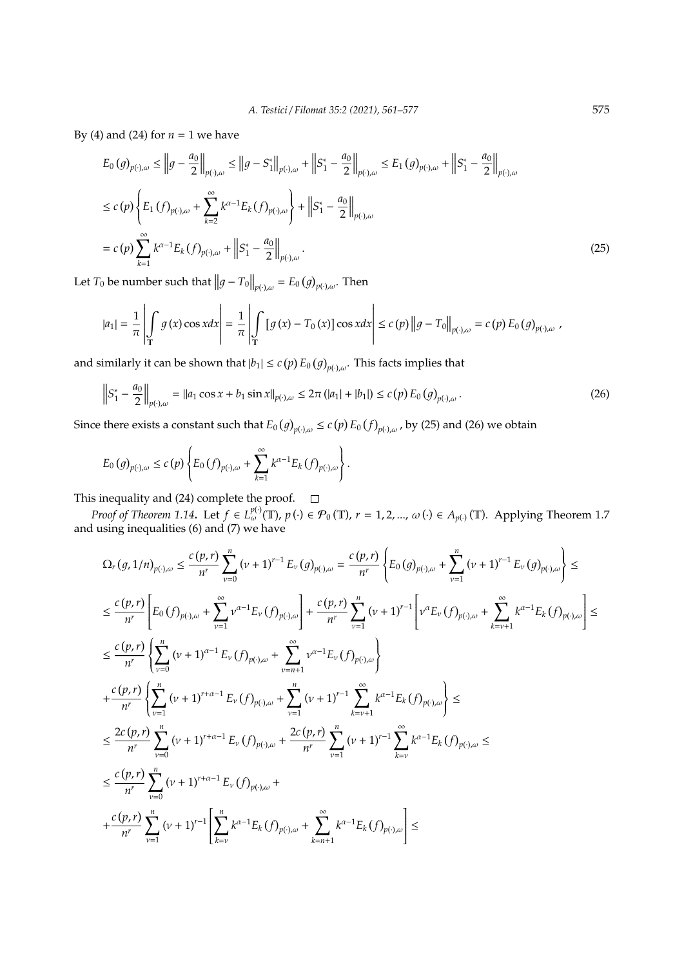By (4) and (24) for  $n = 1$  we have

$$
E_0(g)_{p(\cdot),\omega} \le ||g - \frac{a_0}{2}||_{p(\cdot),\omega} \le ||g - S_1^*||_{p(\cdot),\omega} + ||S_1^* - \frac{a_0}{2}||_{p(\cdot),\omega} \le E_1(g)_{p(\cdot),\omega} + ||S_1^* - \frac{a_0}{2}||_{p(\cdot),\omega}
$$
  
\n
$$
\le c(p) \left\{ E_1(f)_{p(\cdot),\omega} + \sum_{k=2}^{\infty} k^{\alpha-1} E_k(f)_{p(\cdot),\omega} \right\} + ||S_1^* - \frac{a_0}{2}||_{p(\cdot),\omega}
$$
  
\n
$$
= c(p) \sum_{k=1}^{\infty} k^{\alpha-1} E_k(f)_{p(\cdot),\omega} + ||S_1^* - \frac{a_0}{2}||_{p(\cdot),\omega}.
$$
\n(25)

Let  $T_0$  be number such that  $||g - T_0||_{p(\cdot),\omega} = E_0(g)_{p(\cdot),\omega}$ . Then

$$
|a_1| = \frac{1}{\pi} \left| \int_{\mathbb{T}} g(x) \cos x dx \right| = \frac{1}{\pi} \left| \int_{\mathbb{T}} \left[ g(x) - T_0(x) \right] \cos x dx \right| \le c(p) \left\| g - T_0 \right\|_{p(\cdot),\omega} = c(p) E_0(g)_{p(\cdot),\omega},
$$

and similarly it can be shown that  $|b_1| \le c(p) E_0(g)_{p(\cdot),\omega}$ . This facts implies that

$$
\left\| S_1^* - \frac{a_0}{2} \right\|_{p(\cdot),\omega} = \|a_1 \cos x + b_1 \sin x\|_{p(\cdot),\omega} \le 2\pi \left( |a_1| + |b_1| \right) \le c(p) \, E_0\left(g\right)_{p(\cdot),\omega}.
$$
\n(26)

Since there exists a constant such that  $E_0(g)_{p(\cdot),\omega} \le c(p) E_0(f)_{p(\cdot),\omega}$ , by (25) and (26) we obtain

$$
E_0(g)_{p(\cdot),\omega} \le c(p) \left\{ E_0(f)_{p(\cdot),\omega} + \sum_{k=1}^{\infty} k^{\alpha-1} E_k(f)_{p(\cdot),\omega} \right\}.
$$

This inequality and (24) complete the proof.

*Proof of Theorem 1.14*. Let  $f \in L_{\omega}^{p(\cdot)}(\mathbb{T})$ ,  $p(\cdot) \in \mathcal{P}_0(\mathbb{T})$ ,  $r = 1, 2, ..., \omega(\cdot) \in A_{p(\cdot)}(\mathbb{T})$ . Applying Theorem 1.7 and using inequalities (6) and (7) we have

$$
\Omega_{r}(g,1/n)_{p(\cdot),\omega} \leq \frac{c(p,r)}{n^{r}} \sum_{\nu=0}^{n} (\nu+1)^{r-1} E_{\nu}(g)_{p(\cdot),\omega} = \frac{c(p,r)}{n^{r}} \left\{ E_{0}(g)_{p(\cdot),\omega} + \sum_{\nu=1}^{n} (\nu+1)^{r-1} E_{\nu}(g)_{p(\cdot),\omega} \right\} \leq
$$
\n
$$
\leq \frac{c(p,r)}{n^{r}} \left[ E_{0}(f)_{p(\cdot),\omega} + \sum_{\nu=1}^{\infty} \nu^{\alpha-1} E_{\nu}(f)_{p(\cdot),\omega} \right] + \frac{c(p,r)}{n^{r}} \sum_{\nu=1}^{n} (\nu+1)^{r-1} \left[ \nu^{\alpha} E_{\nu}(f)_{p(\cdot),\omega} + \sum_{k=\nu+1}^{\infty} k^{\alpha-1} E_{k}(f)_{p(\cdot),\omega} \right] \leq
$$
\n
$$
\leq \frac{c(p,r)}{n^{r}} \left\{ \sum_{\nu=0}^{n} (\nu+1)^{\alpha-1} E_{\nu}(f)_{p(\cdot),\omega} + \sum_{\nu=n+1}^{\infty} \nu^{\alpha-1} E_{\nu}(f)_{p(\cdot),\omega} \right\}
$$
\n
$$
+ \frac{c(p,r)}{n^{r}} \left\{ \sum_{\nu=1}^{n} (\nu+1)^{r+\alpha-1} E_{\nu}(f)_{p(\cdot),\omega} + \sum_{\nu=1}^{n} (\nu+1)^{r-1} \sum_{k=\nu+1}^{\infty} k^{\alpha-1} E_{k}(f)_{p(\cdot),\omega} \right\} \leq
$$
\n
$$
\leq \frac{2c(p,r)}{n^{r}} \sum_{\nu=0}^{n} (\nu+1)^{r+\alpha-1} E_{\nu}(f)_{p(\cdot),\omega} + \frac{2c(p,r)}{n^{r}} \sum_{\nu=1}^{n} (\nu+1)^{r-1} \sum_{k=\nu}^{\infty} k^{\alpha-1} E_{k}(f)_{p(\cdot),\omega} \leq
$$
\n
$$
\leq \frac{c(p,r)}{n^{r}} \sum_{\nu=0}^{n} (\nu+1)^{r+\alpha-1} E_{\nu}(f)_{p(\cdot),\omega} + \sum_{k
$$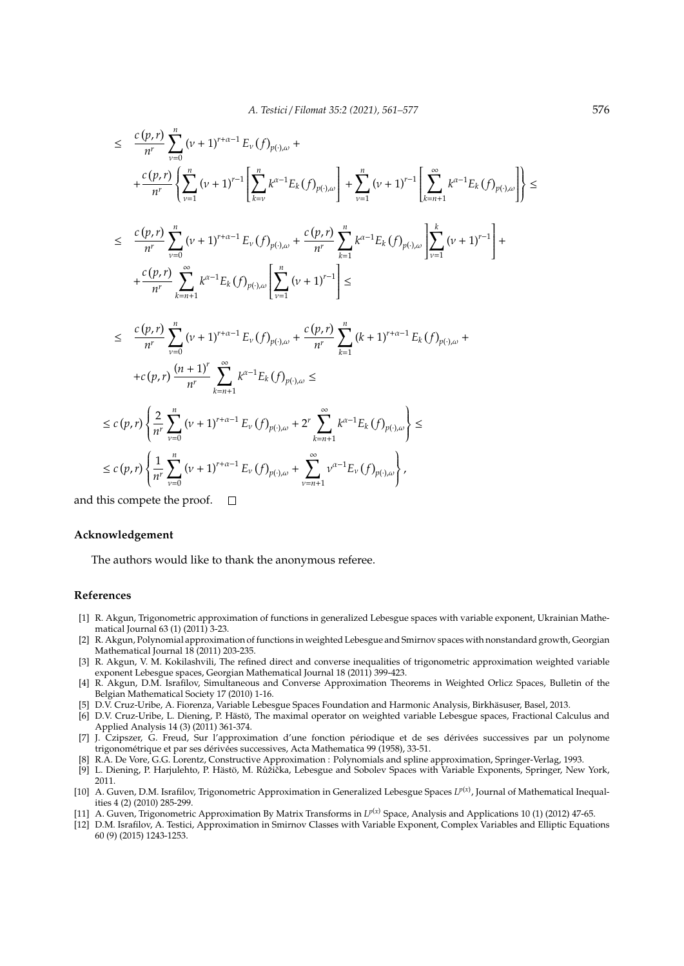$$
\leq \frac{c(p,r)}{n^r} \sum_{\nu=0}^n (\nu+1)^{r+\alpha-1} E_{\nu}(f)_{p(\cdot),\omega} +
$$
\n
$$
+ \frac{c(p,r)}{n^r} \left\{ \sum_{\nu=1}^n (\nu+1)^{r-1} \left[ \sum_{k=\nu}^n k^{\alpha-1} E_k(f)_{p(\cdot),\omega} \right] + \sum_{\nu=1}^n (\nu+1)^{r-1} \left[ \sum_{k=n+1}^\infty k^{\alpha-1} E_k(f)_{p(\cdot),\omega} \right] \right\} \leq
$$
\n
$$
\leq \frac{c(p,r)}{n^r} \sum_{\nu=0}^n (\nu+1)^{r+\alpha-1} E_{\nu}(f)_{p(\cdot),\omega} + \frac{c(p,r)}{n^r} \sum_{k=1}^n k^{\alpha-1} E_k(f)_{p(\cdot),\omega} \left[ \sum_{\nu=1}^k (\nu+1)^{r-1} \right] +
$$
\n
$$
+ \frac{c(p,r)}{n^r} \sum_{k=n+1}^\infty k^{\alpha-1} E_k(f)_{p(\cdot),\omega} \left[ \sum_{\nu=1}^n (\nu+1)^{r-1} \right] \leq
$$
\n
$$
\leq \frac{c(p,r)}{n^r} \sum_{\nu=0}^n (\nu+1)^{r+\alpha-1} E_{\nu}(f)_{p(\cdot),\omega} + \frac{c(p,r)}{n^r} \sum_{k=1}^n (k+1)^{r+\alpha-1} E_k(f)_{p(\cdot),\omega} +
$$
\n
$$
+ c(p,r) \left\{ \frac{(n+1)^r}{n^r} \sum_{k=n+1}^\infty k^{\alpha-1} E_k(f)_{p(\cdot),\omega} \right\} \leq
$$
\n
$$
\leq c(p,r) \left\{ \frac{2}{n^r} \sum_{\nu=0}^n (\nu+1)^{r+\alpha-1} E_{\nu}(f)_{p(\cdot),\omega} + 2^r \sum_{k=n+1}^\infty k^{\alpha-1} E_k(f)_{p(\cdot),\omega} \right\} \leq
$$
\n
$$
\leq c(p,r) \left\{ \frac{1}{n^r} \sum_{\nu=0}^n (\nu+1)^{r+\alpha-1} E_{\nu}(f)_{p(\cdot),\omega}
$$

and this compete the proof.  $\Box$ 

#### **Acknowledgement**

The authors would like to thank the anonymous referee.

## **References**

- [1] R. Akgun, Trigonometric approximation of functions in generalized Lebesgue spaces with variable exponent, Ukrainian Mathematical Journal 63 (1) (2011) 3-23.
- [2] R. Akgun, Polynomial approximation of functions in weighted Lebesgue and Smirnov spaces with nonstandard growth, Georgian Mathematical Journal 18 (2011) 203-235.
- [3] R. Akgun, V. M. Kokilashvili, The refined direct and converse inequalities of trigonometric approximation weighted variable exponent Lebesgue spaces, Georgian Mathematical Journal 18 (2011) 399-423.
- [4] R. Akgun, D.M. Israfilov, Simultaneous and Converse Approximation Theorems in Weighted Orlicz Spaces, Bulletin of the Belgian Mathematical Society 17 (2010) 1-16.
- [5] D.V. Cruz-Uribe, A. Fiorenza, Variable Lebesgue Spaces Foundation and Harmonic Analysis, Birkhasuser, Basel, 2013. ¨
- [6] D.V. Cruz-Uribe, L. Diening, P. Hästö, The maximal operator on weighted variable Lebesgue spaces, Fractional Calculus and Applied Analysis 14 (3) (2011) 361-374.
- [7] J. Czipszer, G. Freud, Sur l'approximation d'une fonction périodique et de ses dérivées successives par un polynome trigonométrique et par ses dérivées successives, Acta Mathematica 99 (1958), 33-51.
- [8] R.A. De Vore, G.G. Lorentz, Constructive Approximation : Polynomials and spline approximation, Springer-Verlag, 1993.
- [9] L. Diening, P. Harjulehto, P. Hästö, M. Růžička, Lebesgue and Sobolev Spaces with Variable Exponents, Springer, New York, 2011.
- [10] A. Guven, D.M. Israfilov, Trigonometric Approximation in Generalized Lebesgue Spaces  $L^{p(x)}$ , Journal of Mathematical Inequalities 4 (2) (2010) 285-299.
- [11] A. Guven, Trigonometric Approximation By Matrix Transforms in  $L^{p(x)}$  Space, Analysis and Applications 10 (1) (2012) 47-65.
- [12] D.M. Israfilov, A. Testici, Approximation in Smirnov Classes with Variable Exponent, Complex Variables and Elliptic Equations 60 (9) (2015) 1243-1253.